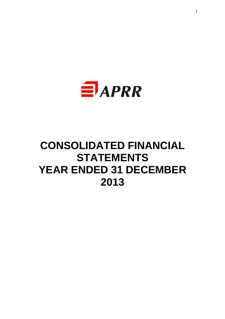

# **CONSOLIDATED FINANCIAL STATEMENTS YEAR ENDED 31 DECEMBER 2013**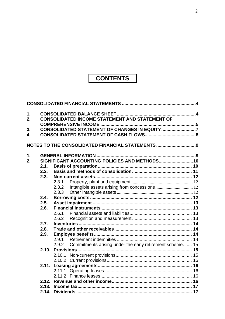# **CONTENTS**

| 1. |              |       |                                                          |  |
|----|--------------|-------|----------------------------------------------------------|--|
| 2. |              |       | <b>CONSOLIDATED INCOME STATEMENT AND STATEMENT OF</b>    |  |
|    |              |       |                                                          |  |
| 3. |              |       | CONSOLIDATED STATEMENT OF CHANGES IN EQUITY 7            |  |
| 4. |              |       |                                                          |  |
|    |              |       | NOTES TO THE CONSOLIDATED FINANCIAL STATEMENTS9          |  |
| 1. |              |       |                                                          |  |
| 2. |              |       | SIGNIFICANT ACCOUNTING POLICIES AND METHODS10            |  |
|    | 2.1.         |       |                                                          |  |
|    | 2.2.         |       |                                                          |  |
|    | 2.3.         |       |                                                          |  |
|    |              | 2.3.1 |                                                          |  |
|    |              | 2.3.2 |                                                          |  |
|    |              | 2.3.3 |                                                          |  |
|    | 2.4.         |       |                                                          |  |
|    | 2.5.         |       |                                                          |  |
|    | 2.6.         |       |                                                          |  |
|    |              | 2.6.1 |                                                          |  |
|    |              | 2.6.2 |                                                          |  |
|    | 2.7.         |       |                                                          |  |
|    | 2.8.<br>2.9. |       |                                                          |  |
|    |              | 2.9.1 |                                                          |  |
|    |              | 2.9.2 | Commitments arising under the early retirement scheme 15 |  |
|    | 2.10.        |       |                                                          |  |
|    |              |       |                                                          |  |
|    |              |       |                                                          |  |
|    |              |       |                                                          |  |
|    |              |       |                                                          |  |
|    |              |       |                                                          |  |
|    |              |       |                                                          |  |
|    |              |       |                                                          |  |
|    |              |       |                                                          |  |
|    |              |       |                                                          |  |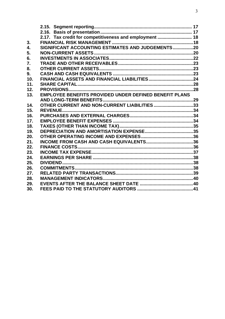|     | 2.17. Tax credit for competitiveness and employment  18       |  |
|-----|---------------------------------------------------------------|--|
| 3.  |                                                               |  |
| 4.  | SIGNIFICANT ACCOUNTING ESTIMATES AND JUDGEMENTS20             |  |
| 5.  |                                                               |  |
| 6.  |                                                               |  |
| 7.  |                                                               |  |
| 8.  |                                                               |  |
| 9.  |                                                               |  |
| 10. |                                                               |  |
| 11. |                                                               |  |
| 12. |                                                               |  |
| 13. | <b>EMPLOYEE BENEFITS PROVIDED UNDER DEFINED BENEFIT PLANS</b> |  |
|     |                                                               |  |
| 14. | OTHER CURRENT AND NON-CURRENT LIABILITIES 33                  |  |
| 15. |                                                               |  |
| 16. |                                                               |  |
| 17. |                                                               |  |
| 18. |                                                               |  |
| 19. |                                                               |  |
| 20. |                                                               |  |
| 21. |                                                               |  |
| 22. |                                                               |  |
| 23. |                                                               |  |
| 24. |                                                               |  |
| 25. |                                                               |  |
| 26. |                                                               |  |
| 27. |                                                               |  |
| 28. |                                                               |  |
| 29. |                                                               |  |
| 30. |                                                               |  |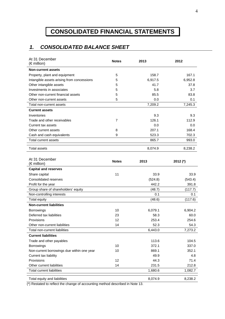# **CONSOLIDATED FINANCIAL STATEMENTS**

# *1. CONSOLIDATED BALANCE SHEET*

| At 31 December<br>(€ million)              | <b>Notes</b> | 2013    | 2012     |
|--------------------------------------------|--------------|---------|----------|
| <b>Non-current assets</b>                  |              |         |          |
| Property, plant and equipment              | 5            | 158.7   | 167.1    |
| Intangible assets arising from concessions | 5            | 6,917.5 | 6,952.8  |
| Other intangible assets                    | 5            | 41.7    | 37.8     |
| Investments in associates                  | 5            | 5.8     | 3.7      |
| Other non-current financial assets         | 5            | 85.5    | 83.8     |
| Other non-current assets                   | 5            | 0.0     | 0.1      |
| Total non-current assets                   |              | 7,209.2 | 7,245.3  |
| <b>Current assets</b>                      |              |         |          |
| Inventories                                |              | 9.3     | 9.3      |
| Trade and other receivables                | 7            | 126.1   | 112.9    |
| Current tax assets                         |              | 0.0     | 0.0      |
| Other current assets                       | 8            | 207.1   | 168.4    |
| Cash and cash equivalents                  | 9            | 523.3   | 702.3    |
| Total current assets                       |              | 865.7   | 993.0    |
| <b>Total assets</b>                        |              | 8,074.9 | 8,238.2  |
| At 31 December<br>(€ million)              | <b>Notes</b> | 2013    | 2012 (*) |
| <b>Capital and reserves</b>                |              |         |          |
| Share capital                              | 11           | 33.9    | 33.9     |
| <b>Consolidated reserves</b>               |              | (524.8) | (543.4)  |
| Profit for the year                        |              | 442.2   | 391.8    |
| Group share of shareholders' equity        |              | (48.7)  | (117.7)  |
| Non-controlling interests                  |              | 0.1     | 0.1      |
| <b>Total equity</b>                        |              | (48.6)  | (117.6)  |
| <b>Non-current liabilities</b>             |              |         |          |
| <b>Borrowings</b>                          | 10           | 6,079.1 | 6,904.2  |
| Deferred tax liabilities                   | 23           | 58.3    | 60.0     |
| Provisions                                 | 12           | 253.4   | 254.6    |
| Other non-current liabilities              | 14           | 52.3    | 54.3     |
| Total non-current liabilities              |              | 6,443.0 | 7,273.2  |
| <b>Current liabilities</b>                 |              |         |          |
| Trade and other payables                   |              | 113.6   | 104.5    |
| Borrowings                                 | 10           | 372.1   | 337.0    |
| Non-current borrowings due within one year | 10           | 869.1   | 352.1    |
| Current tax liability                      |              | 49.9    | 4.8      |
| Provisions                                 | 12           | 44.3    | 71.4     |
| Other current liabilities                  | 14           | 231.5   | 212.8    |
| <b>Total current liabilities</b>           |              | 1,680.6 | 1,082.7  |
| Total equity and liabilities               |              | 8,074.9 | 8,238.2  |

(\*) Restated to reflect the change of accounting method described in Note 13.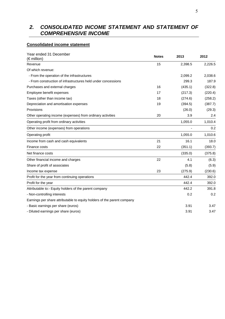# *2. CONSOLIDATED INCOME STATEMENT AND STATEMENT OF COMPREHENSIVE INCOME*

### **Consolidated income statement**

| Year ended 31 December<br>(€ million)                                   | <b>Notes</b> | 2013    | 2012    |
|-------------------------------------------------------------------------|--------------|---------|---------|
| Revenue                                                                 | 15           | 2,398.5 | 2,226.5 |
| Of which revenue:                                                       |              |         |         |
| - From the operation of the infrastructures                             |              | 2,099.2 | 2,038.6 |
| - From construction of infrastructures held under concessions           |              | 299.3   | 187.9   |
| Purchases and external charges                                          | 16           | (435.1) | (322.8) |
| Employee benefit expenses                                               | 17           | (217.3) | (220.4) |
| Taxes (other than income tax)                                           | 18           | (274.6) | (258.2) |
| Depreciation and amortisation expenses                                  | 19           | (394.5) | (387.7) |
| Provisions                                                              |              | (26.0)  | (29.3)  |
| Other operating income (expenses) from ordinary activities              | 20           | 3.9     | 2.4     |
| Operating profit from ordinary activities                               |              | 1,055.0 | 1,010.4 |
| Other income (expenses) from operations                                 |              |         | 0.2     |
| Operating profit                                                        |              | 1,055.0 | 1,010.6 |
| Income from cash and cash equivalents                                   | 21           | 16.1    | 18.0    |
| Finance costs                                                           | 22           | (351.1) | (393.7) |
| Net finance costs                                                       |              | (335.0) | (375.8) |
| Other financial income and charges                                      | 22           | 4.1     | (6.3)   |
| Share of profit of associates                                           |              | (5.8)   | (5.9)   |
| Income tax expense                                                      | 23           | (275.9) | (230.6) |
| Profit for the year from continuing operations                          |              | 442.4   | 392.0   |
| Profit for the year                                                     |              | 442.4   | 392.0   |
| Attributable to:- Equity holders of the parent company                  |              | 442.2   | 391.8   |
| - Non-controlling interests                                             |              | 0.2     | 0.2     |
| Earnings per share attributable to equity holders of the parent company |              |         |         |
| - Basic earnings per share (euros)                                      |              | 3.91    | 3.47    |
| - Diluted earnings per share (euros)                                    |              | 3.91    | 3.47    |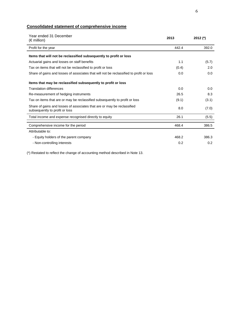# **Consolidated statement of comprehensive income**

| Year ended 31 December<br>$(\epsilon$ million)                                                            | 2013  | 2012 $(*)$ |
|-----------------------------------------------------------------------------------------------------------|-------|------------|
| Profit for the year                                                                                       | 442.4 | 392.0      |
| Items that will not be reclassified subsequently to profit or loss                                        |       |            |
| Actuarial gains and losses on staff benefits                                                              | 1.1   | (5.7)      |
| Tax on items that will not be reclassified to profit or loss                                              | (0.4) | 2.0        |
| Share of gains and losses of associates that will not be reclassified to profit or loss                   | 0.0   | 0.0        |
| Items that may be reclassified subsequently to profit or loss                                             |       |            |
| <b>Translation differences</b>                                                                            | 0.0   | 0.0        |
| Re-measurement of hedging instruments                                                                     | 26.5  | 8.3        |
| Tax on items that are or may be reclassified subsequently to profit or loss                               | (9.1) | (3.1)      |
| Share of gains and losses of associates that are or may be reclassified<br>subsequently to profit or loss | 8.0   | (7.0)      |
| Total income and expense recognised directly to equity                                                    | 26.1  | (5.5)      |
| Comprehensive income for the period                                                                       | 468.4 | 386.5      |
| Attributable to:                                                                                          |       |            |
| - Equity holders of the parent company                                                                    | 468.2 | 386.3      |
| - Non-controlling interests                                                                               | 0.2   | 0.2        |

(\*) Restated to reflect the change of accounting method described in Note 13.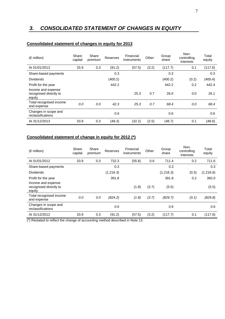# *3. CONSOLIDATED STATEMENT OF CHANGES IN EQUITY*

| $(\epsilon$ million)                                   | Share<br>capital | Share<br>premium | <b>Reserves</b> | Financial<br>instruments | Other | Group<br>share | Non-<br>controlling<br>interests | Total<br>equity |
|--------------------------------------------------------|------------------|------------------|-----------------|--------------------------|-------|----------------|----------------------------------|-----------------|
| At 01/01/2013                                          | 33.9             | 0.3              | (91.2)          | (57.5)                   | (3.2) | (117.7)        | 0.1                              | (117.6)         |
| Share-based payments                                   |                  |                  | 0.3             |                          |       | 0.3            |                                  | 0.3             |
| <b>Dividends</b>                                       |                  |                  | (400.2)         |                          |       | (400.2)        | (0.2)                            | (400.4)         |
| Profit for the year                                    |                  |                  | 442.2           |                          |       | 442.2          | 0.2                              | 442.4           |
| Income and expense<br>recognised directly to<br>equity |                  |                  |                 | 25.3                     | 0.7   | 26.0           | 0.0                              | 26.1            |
| Total recognised income<br>and expense                 | 0.0              | 0.0              | 42.3            | 25.3                     | 0.7   | 68.4           | 0.0                              | 68.4            |
| Changes in scope and<br>reclassifications              |                  |                  | 0.6             |                          |       | 0.6            |                                  | 0.6             |
| At 31/12/2013                                          | 33.9             | 0.3              | (48.3)          | (32.2)                   | (2.5) | (48.7)         | 0.1                              | (48.6)          |

#### **Consolidated statement of changes in equity for 2013**

# **Consolidated statement of change in equity for 2012 (\*)**

| $(\epsilon$ million)                                   | Share<br>capital | Share<br>premium | <b>Reserves</b> | Financial<br>instruments | Other | Group<br>share | Non-<br>controlling<br>interests | Total<br>equity |
|--------------------------------------------------------|------------------|------------------|-----------------|--------------------------|-------|----------------|----------------------------------|-----------------|
| At 01/01/2012                                          | 33.9             | 0.3              | 732.3           | (55.8)                   | 0.6   | 711.4          | 0.2                              | 711.6           |
| Share-based payments                                   |                  |                  | 0.3             |                          |       | 0.3            |                                  | 0.3             |
| <b>Dividends</b>                                       |                  |                  | (1,216.3)       |                          |       | (1,216.3)      | (0.3)                            | (1,216.6)       |
| Profit for the year                                    |                  |                  | 391.8           |                          |       | 391.8          | 0.2                              | 392.0           |
| Income and expense<br>recognised directly to<br>equity |                  |                  |                 | (1.8)                    | (3.7) | (5.5)          |                                  | (5.5)           |
| Total recognised income<br>and expense                 | 0.0              | 0.0              | (824.2)         | (1.8)                    | (3.7) | (829.7)        | (0.1)                            | (829.8)         |
| Changes in scope and<br>reclassifications              |                  |                  | 0.6             |                          |       | 0.6            |                                  | 0.6             |
| At 31/12/2012                                          | 33.9             | 0.3              | (91.2)          | (57.5)                   | (3.2) | (117.7)        | 0.1                              | (117.6)         |

(\*) Restated to reflect the change of accounting method described in Note 13.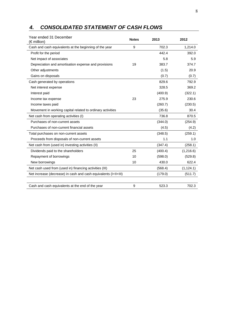| 4. | <b>CONSOLIDATED STATEMENT OF CASH FLOWS</b> |  |
|----|---------------------------------------------|--|
|----|---------------------------------------------|--|

| Year ended 31 December<br>(€million)                            | <b>Notes</b> | 2013    | 2012       |
|-----------------------------------------------------------------|--------------|---------|------------|
| Cash and cash equivalents at the beginning of the year          | 9            | 702.3   | 1,214.0    |
| Profit for the period                                           |              | 442.4   | 392.0      |
| Net impact of associates                                        |              | 5.8     | 5.9        |
| Depreciation and amortisation expense and provisions            | 19           | 383.7   | 374.7      |
| Other adjustments                                               |              | (1.5)   | 20.9       |
| Gains on disposals                                              |              | (0.7)   | (0.7)      |
| Cash generated by operations                                    |              | 829.6   | 792.9      |
| Net interest expense                                            |              | 328.5   | 369.2      |
| Interest paid                                                   |              | (400.9) | (322.1)    |
| Income tax expense                                              | 23           | 275.9   | 230.6      |
| Income taxes paid                                               |              | (260.7) | (230.5)    |
| Movement in working capital related to ordinary activities      |              | (35.6)  | 30.4       |
| Net cash from operating activities (I)                          |              | 736.8   | 870.5      |
| Purchases of non-current assets                                 |              | (344.0) | (254.9)    |
| Purchases of non-current financial assets                       |              | (4.5)   | (4.2)      |
| Total purchases on non-current assets                           |              | (348.5) | (259.1)    |
| Proceeds from disposals of non-current assets                   |              | 1.1     | 1.0        |
| Net cash from (used in) investing activities (II)               |              | (347.4) | (258.1)    |
| Dividends paid to the shareholders                              | 25           | (400.4) | (1,216.6)  |
| Repayment of borrowings                                         | 10           | (598.0) | (529.8)    |
| New borrowings                                                  | 10           | 430.0   | 622.4      |
| Net cash used from (used in) financing activities (III)         |              | (568.4) | (1, 124.1) |
| Net increase (decrease) in cash and cash equivalents (I+II+III) |              | (179.0) | (511.7)    |
|                                                                 |              |         |            |
| Cash and cash equivalents at the end of the year                | 9            | 523.3   | 702.3      |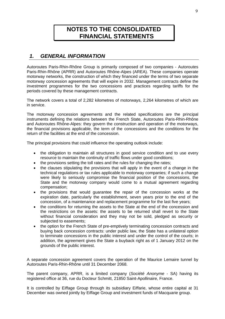# **NOTES TO THE CONSOLIDATED FINANCIAL STATEMENTS**

# *1. GENERAL INFORMATION*

Autoroutes Paris-Rhin-Rhône Group is primarily composed of two companies - Autoroutes Paris-Rhin-Rhône (APRR) and Autoroutes Rhône-Alpes (AREA). These companies operate motorway networks, the construction of which they financed under the terms of two separate motorway concession agreements that will expire in 2032. Management contracts define the investment programmes for the two concessions and practices regarding tariffs for the periods covered by these management contracts.

The network covers a total of 2,282 kilometres of motorways, 2,264 kilometres of which are in service.

The motorway concession agreements and the related specifications are the principal instruments defining the relations between the French State, Autoroutes Paris-Rhin-Rhône and Autoroutes Rhône-Alpes: they govern the construction and operation of the motorways, the financial provisions applicable, the term of the concessions and the conditions for the return of the facilities at the end of the concession.

The principal provisions that could influence the operating outlook include:

- the obligation to maintain all structures in good service condition and to use every resource to maintain the continuity of traffic flows under good conditions;
- the provisions setting the toll rates and the rules for changing the rates;
- the clauses stipulating the provisions that will apply in the event of a change in the technical regulations or tax rules applicable to motorway companies; if such a change were likely to seriously compromise the financial position of the concessions, the State and the motorway company would come to a mutual agreement regarding compensation;
- the provisions that would guarantee the repair of the concession works at the expiration date, particularly the establishment, seven years prior to the end of the concession, of a maintenance and replacement programme for the last five years;
- the conditions for returning the assets to the State at the end of the concession and the restrictions on the assets: the assets to be returned shall revert to the State without financial consideration and they may not be sold, pledged as security or subjected to easements;
- the option for the French State of pre-emptively terminating concession contracts and buying back concession contracts: under public law, the State has a unilateral option to terminate concessions in the public interest and under the control of the courts; in addition, the agreement gives the State a buyback right as of 1 January 2012 on the grounds of the public interest.

A separate concession agreement covers the operation of the Maurice Lemaire tunnel by Autoroutes Paris-Rhin-Rhône until 31 December 2068.

The parent company, APRR, is a limited company (*Société Anonyme* - SA) having its registered office at 36, rue du Docteur Schmitt, 21850 Saint-Apollinaire, France.

It is controlled by Eiffage Group through its subsidiary Eiffarie, whose entire capital at 31 December was owned jointly by Eiffage Group and investment funds of Macquarie group.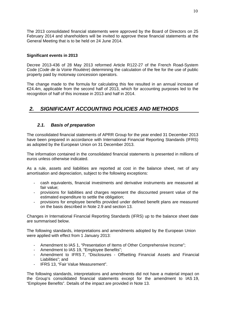The 2013 consolidated financial statements were approved by the Board of Directors on 25 February 2014 and shareholders will be invited to approve these financial statements at the General Meeting that is to be held on 24 June 2014.

### **Significant events in 2013**

Decree 2013-436 of 28 May 2013 reformed Article R122-27 of the French Road-System Code (*Code de la Voirie Routière*) determining the calculation of the fee for the use of public property paid by motorway concession operators.

The change made to the formula for calculating this fee resulted in an annual increase of €24.4m, applicable from the second half of 2013, which for accounting purposes led to the recognition of half of this increase in 2013 and half in 2014.

# *2. SIGNIFICANT ACCOUNTING POLICIES AND METHODS*

### *2.1. Basis of preparation*

The consolidated financial statements of APRR Group for the year ended 31 December 2013 have been prepared in accordance with International Financial Reporting Standards (IFRS) as adopted by the European Union on 31 December 2013.

The information contained in the consolidated financial statements is presented in millions of euros unless otherwise indicated.

As a rule, assets and liabilities are reported at cost in the balance sheet, net of any amortisation and depreciation, subject to the following exceptions:

- cash equivalents, financial investments and derivative instruments are measured at fair value;
- provisions for liabilities and charges represent the discounted present value of the estimated expenditure to settle the obligation;
- provisions for employee benefits provided under defined benefit plans are measured on the basis described in Note 2.9 and section 13.

Changes in International Financial Reporting Standards (IFRS) up to the balance sheet date are summarised below.

The following standards, interpretations and amendments adopted by the European Union were applied with effect from 1 January 2013:

- Amendment to IAS 1, "Presentation of Items of Other Comprehensive Income";
- Amendment to IAS 19, "Employee Benefits";
- Amendment to IFRS 7, "Disclosures Offsetting Financial Assets and Financial Liabilities"; and
- IFRS 13, "Fair Value Measurement".

The following standards, interpretations and amendments did not have a material impact on the Group's consolidated financial statements except for the amendment to IAS 19, "Employee Benefits". Details of the impact are provided in Note 13.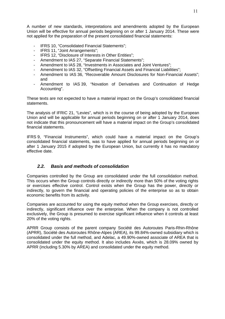A number of new standards, interpretations and amendments adopted by the European Union will be effective for annual periods beginning on or after 1 January 2014. These were not applied for the preparation of the present consolidated financial statements:

- IFRS 10, "Consolidated Financial Statements";
- IFRS 11, "Joint Arrangements";
- IFRS 12, "Disclosure of Interests in Other Entities";
- Amendment to IAS 27, "Separate Financial Statements";
- Amendment to IAS 28, "Investments in Associates and Joint Ventures";
- Amendment to IAS 32, "Offsetting Financial Assets and Financial Liabilities";
- Amendment to IAS 36, "Recoverable Amount Disclosures for Non-Financial Assets"; and
- Amendment to IAS 39, "Novation of Derivatives and Continuation of Hedge Accounting".

These texts are not expected to have a material impact on the Group's consolidated financial statements.

The analysis of IFRIC 21, "Levies", which is in the course of being adopted by the European Union and will be applicable for annual periods beginning on or after 1 January 2014, does not indicate that this pronouncement will have a material impact on the Group's consolidated financial statements.

IFRS 9, "Financial Instruments", which could have a material impact on the Group's consolidated financial statements, was to have applied for annual periods beginning on or after 1 January 2015 if adopted by the European Union, but currently it has no mandatory effective date.

#### *2.2. Basis and methods of consolidation*

Companies controlled by the Group are consolidated under the full consolidation method. This occurs when the Group controls directly or indirectly more than 50% of the voting rights or exercises effective control. Control exists when the Group has the power, directly or indirectly, to govern the financial and operating policies of the enterprise so as to obtain economic benefits from its activity.

Companies are accounted for using the equity method when the Group exercises, directly or indirectly, significant influence over the enterprise. When the company is not controlled exclusively, the Group is presumed to exercise significant influence when it controls at least 20% of the voting rights.

APRR Group consists of the parent company Société des Autoroutes Paris-Rhin-Rhône (APRR), Société des Autoroutes Rhône-Alpes (AREA), its 99.84%-owned subsidiary which is consolidated under the full method, and Adelac, a 49.90%-owned associate of AREA that is consolidated under the equity method. It also includes Axxès, which is 28.09% owned by APRR (including 5.30% by AREA) and consolidated under the equity method.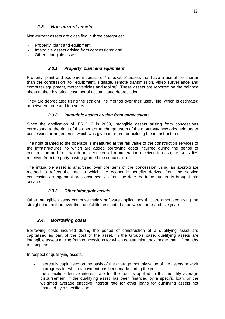### *2.3. Non-current assets*

Non-current assets are classified in three categories:

- **-** Property, plant and equipment;
- **-** Intangible assets arising from concessions; and
- **-** Other intangible assets.

#### *2.3.1 Property, plant and equipment*

Property, plant and equipment consist of "renewable" assets that have a useful life shorter than the concession (toll equipment, signage, remote transmission, video surveillance and computer equipment, motor vehicles and tooling). These assets are reported on the balance sheet at their historical cost, net of accumulated depreciation.

They are depreciated using the straight line method over their useful life, which is estimated at between three and ten years.

#### *2.3.2 Intangible assets arising from concessions*

Since the application of IFRIC 12 in 2009, intangible assets arising from concessions correspond to the right of the operator to charge users of the motorway networks held under concession arrangements, which was given in return for building the infrastructures.

The right granted to the operator is measured at the fair value of the construction services of the infrastructures, to which are added borrowing costs incurred during the period of construction and from which are deducted all remuneration received in cash, i.e. subsidies received from the party having granted the concession.

The intangible asset is amortised over the term of the concession using an appropriate method to reflect the rate at which the economic benefits derived from the service concession arrangement are consumed, as from the date the infrastructure is brought into service.

#### *2.3.3 Other intangible assets*

Other intangible assets comprise mainly software applications that are amortised using the straight-line method over their useful life, estimated at between three and five years.

### *2.4. Borrowing costs*

Borrowing costs incurred during the period of construction of a qualifying asset are capitalised as part of the cost of the asset. In the Group's case, qualifying assets are intangible assets arising from concessions for which construction took longer than 12 months to complete.

In respect of qualifying assets:

- interest is capitalised on the basis of the average monthly value of the assets or work in progress for which a payment has been made during the year;
- the specific effective interest rate for the loan is applied to this monthly average disbursement, if the qualifying asset has been financed by a specific loan, or the weighted average effective interest rate for other loans for qualifying assets not financed by a specific loan.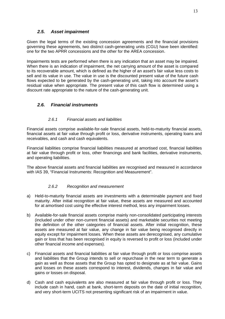### *2.5. Asset impairment*

Given the legal terms of the existing concession agreements and the financial provisions governing these agreements, two distinct cash-generating units (CGU) have been identified: one for the two APRR concessions and the other for the AREA concession.

Impairments tests are performed when there is any indication that an asset may be impaired. When there is an indication of impairment, the net carrying amount of the asset is compared to its recoverable amount, which is defined as the higher of an asset's fair value less costs to sell and its value in use. The value in use is the discounted present value of the future cash flows expected to be generated by the cash-generating unit, taking into account the asset's residual value when appropriate. The present value of this cash flow is determined using a discount rate appropriate to the nature of the cash-generating unit.

# *2.6. Financial instruments*

### *2.6.1 Financial assets and liabilities*

Financial assets comprise available-for-sale financial assets, held-to-maturity financial assets, financial assets at fair value through profit or loss, derivative instruments, operating loans and receivables, and cash and cash equivalents.

Financial liabilities comprise financial liabilities measured at amortised cost, financial liabilities at fair value through profit or loss, other financings and bank facilities, derivative instruments, and operating liabilities.

The above financial assets and financial liabilities are recognised and measured in accordance with IAS 39, "Financial Instruments: Recognition and Measurement".

### *2.6.2 Recognition and measurement*

- a) Held-to-maturity financial assets are investments with a determinable payment and fixed maturity. After initial recognition at fair value, these assets are measured and accounted for at amortised cost using the effective interest method, less any impairment losses.
- b) Available-for-sale financial assets comprise mainly non-consolidated participating interests (included under other non-current financial assets) and marketable securities not meeting the definition of the other categories of financial assets. After initial recognition, these assets are measured at fair value, any change in fair value being recognised directly in equity except for impairment losses. When these assets are derecognised, any cumulative gain or loss that has been recognised in equity is reversed to profit or loss (included under other financial income and expenses).
- c) Financial assets and financial liabilities at fair value through profit or loss comprise assets and liabilities that the Group intends to sell or repurchase in the near term to generate a gain as well as those assets that the Group has opted to designate as at fair value. Gains and losses on these assets correspond to interest, dividends, changes in fair value and gains or losses on disposal.
- d) Cash and cash equivalents are also measured at fair value through profit or loss. They include cash in hand, cash at bank, short-term deposits on the date of initial recognition, and very short-term UCITS not presenting significant risk of an impairment in value.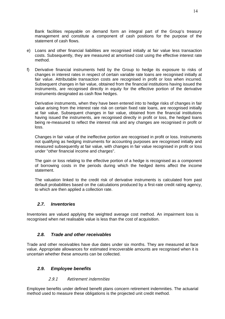Bank facilities repayable on demand form an integral part of the Group's treasury management and constitute a component of cash positions for the purpose of the statement of cash flows.

- e) Loans and other financial liabilities are recognised initially at fair value less transaction costs. Subsequently, they are measured at amortised cost using the effective interest rate method.
- f) Derivative financial instruments held by the Group to hedge its exposure to risks of changes in interest rates in respect of certain variable rate loans are recognised initially at fair value. Attributable transaction costs are recognised in profit or loss when incurred. Subsequent changes in fair value, obtained from the financial institutions having issued the instruments, are recognised directly in equity for the effective portion of the derivative instruments designated as cash flow hedges.

Derivative instruments, when they have been entered into to hedge risks of changes in fair value arising from the interest rate risk on certain fixed rate loans, are recognised initially at fair value. Subsequent changes in fair value, obtained from the financial institutions having issued the instruments, are recognised directly in profit or loss, the hedged loans being re-measured to reflect the interest risk and any changes are recognised in profit or loss.

Changes in fair value of the ineffective portion are recognised in profit or loss. Instruments not qualifying as hedging instruments for accounting purposes are recognised initially and measured subsequently at fair value, with changes in fair value recognised in profit or loss under "other financial income and charges".

The gain or loss relating to the effective portion of a hedge is recognised as a component of borrowing costs in the periods during which the hedged items affect the income statement.

The valuation linked to the credit risk of derivative instruments is calculated from past default probabilities based on the calculations produced by a first-rate credit rating agency, to which are then applied a collection rate.

# *2.7. Inventories*

Inventories are valued applying the weighted average cost method. An impairment loss is recognised when net realisable value is less than the cost of acquisition.

# *2.8. Trade and other receivables*

Trade and other receivables have due dates under six months. They are measured at face value. Appropriate allowances for estimated irrecoverable amounts are recognised when it is uncertain whether these amounts can be collected.

# *2.9. Employee benefits*

# 2.9.1 Retirement indemnities

Employee benefits under defined benefit plans concern retirement indemnities. The actuarial method used to measure these obligations is the projected unit credit method.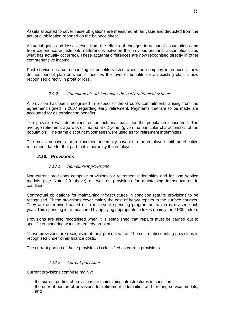Assets allocated to cover these obligations are measured at fair value and deducted from the actuarial obligation reported on the balance sheet.

Actuarial gains and losses result from the effects of changes in actuarial assumptions and from experience adjustments (differences between the previous actuarial assumptions and what has actually occurred). These actuarial differences are now recognised directly in other comprehensive income.

Past service cost corresponding to benefits vested when the company introduces a new defined benefit plan or when it modifies the level of benefits for an existing plan is now recognised directly in profit or loss.

### 2.9.2 Commitments arising under the early retirement scheme

A provision has been recognised in respect of the Group's commitments arising from the agreement signed in 2007 regarding early retirement. Payments that are to be made are accounted for as termination benefits.

The provision was determined on an actuarial basis for the population concerned. The average retirement age was estimated at 62 years (given the particular characteristics of the population). The same discount hypotheses were used as for retirement indemnities.

The provision covers the replacement indemnity payable to the employee until the effective retirement date for that part that is borne by the employer.

### *2.10. Provisions*

#### 2.10.1 Non-current provisions

Non-current provisions comprise provisions for retirement indemnities and for long service medals (see Note 2.9 above) as well as provisions for maintaining infrastructures in condition.

Contractual obligations for maintaining infrastructures in condition require provisions to be recognised. These provisions cover mainly the cost of heavy repairs to the surface courses. They are determined based on a multi-year spending programme, which is revised each year. This spending is re-measured by applying appropriate indexes (mainly the TP09 index).

Provisions are also recognised when it is established that repairs must be carried out to specific engineering works to remedy problems.

These provisions are recognised at their present value. The cost of discounting provisions is recognised under other finance costs.

The current portion of these provisions is classified as current provisions.

#### 2.10.2 Current provisions

Current provisions comprise mainly:

- the current portion of provisions for maintaining infrastructures in condition;
- the current portion of provisions for retirement indemnities and for long service medals; and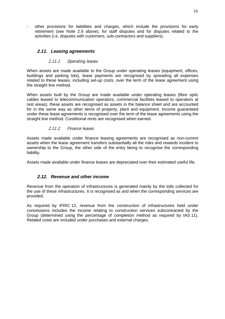other provisions for liabilities and charges, which include the provisions for early retirement (see Note 2.9 above), for staff disputes and for disputes related to the activities (i.e. disputes with customers, sub-contractors and suppliers).

### *2.11. Leasing agreements*

#### 2.11.1 Operating leases

When assets are made available to the Group under operating leases (equipment, offices, buildings and parking lots), lease payments are recognised by spreading all expenses related to these leases, including set-up costs, over the term of the lease agreement using the straight line method.

When assets built by the Group are made available under operating leases (fibre optic cables leased to telecommunication operators, commercial facilities leased to operators at rest areas), these assets are recognised as assets in the balance sheet and are accounted for in the same way as other items of property, plant and equipment. Income guaranteed under these lease agreements is recognised over the term of the lease agreements using the straight line method. Conditional rents are recognised when earned.

#### 2.11.2 Finance leases

Assets made available under finance leasing agreements are recognised as non-current assets when the lease agreement transfers substantially all the risks and rewards incident to ownership to the Group, the other side of the entry being to recognise the corresponding liability.

Assets made available under finance leases are depreciated over their estimated useful life.

### *2.12. Revenue and other income*

Revenue from the operation of infrastructures is generated mainly by the tolls collected for the use of these infrastructures. It is recognised as and when the corresponding services are provided.

As required by IFRIC 12, revenue from the construction of infrastructures held under concessions includes the income relating to construction services subcontracted by the Group (determined using the percentage of completion method as required by IAS 11). Related costs are included under purchases and external charges.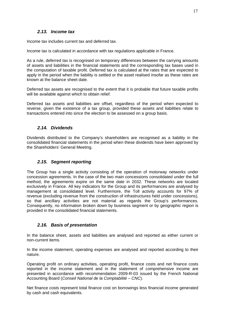### *2.13. Income tax*

Income tax includes current tax and deferred tax.

Income tax is calculated in accordance with tax regulations applicable in France.

As a rule, deferred tax is recognised on temporary differences between the carrying amounts of assets and liabilities in the financial statements and the corresponding tax bases used in the computation of taxable profit. Deferred tax is calculated at the rates that are expected to apply in the period when the liability is settled or the asset realised insofar as these rates are known at the balance sheet date.

Deferred tax assets are recognised to the extent that it is probable that future taxable profits will be available against which to obtain relief.

Deferred tax assets and liabilities are offset, regardless of the period when expected to reverse, given the existence of a tax group, provided these assets and liabilities relate to transactions entered into since the election to be assessed on a group basis.

### *2.14. Dividends*

Dividends distributed to the Company's shareholders are recognised as a liability in the consolidated financial statements in the period when these dividends have been approved by the Shareholders' General Meeting.

### *2.15. Segment reporting*

The Group has a single activity consisting of the operation of motorway networks under concession agreements. In the case of the two main concessions consolidated under the full method, the agreements expire on the same date in 2032. These networks are located exclusively in France. All key indicators for the Group and its performances are analysed by management at consolidated level. Furthermore, the Toll activity accounts for 97% of revenue (excluding revenue from the construction of infrastructures held under concessions), so that ancillary activities are not material as regards the Group's performances. Consequently, no information broken down by business segment or by geographic region is provided in the consolidated financial statements.

### *2.16. Basis of presentation*

In the balance sheet, assets and liabilities are analysed and reported as either current or non-current items.

In the income statement, operating expenses are analysed and reported according to their nature.

Operating profit on ordinary activities, operating profit, finance costs and net finance costs reported in the income statement and in the statement of comprehensive income are presented in accordance with recommendation 2009-R-03 issued by the French National Accounting Board (*Conseil National de la Comptabilité – CNC*).

Net finance costs represent total finance cost on borrowings less financial income generated by cash and cash equivalents.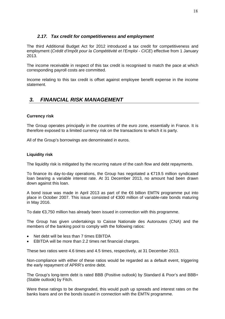### *2.17. Tax credit for competitiveness and employment*

The third Additional Budget Act for 2012 introduced a tax credit for competitiveness and employment (*Crédit d'Impôt pour la Compétitivité et l'Emploi - CICE*) effective from 1 January 2013.

The income receivable in respect of this tax credit is recognised to match the pace at which corresponding payroll costs are committed.

Income relating to this tax credit is offset against employee benefit expense in the income statement.

# *3. FINANCIAL RISK MANAGEMENT*

### **Currency risk**

The Group operates principally in the countries of the euro zone, essentially in France. It is therefore exposed to a limited currency risk on the transactions to which it is party.

All of the Group's borrowings are denominated in euros.

#### **Liquidity risk**

The liquidity risk is mitigated by the recurring nature of the cash flow and debt repayments.

To finance its day-to-day operations, the Group has negotiated a  $\epsilon$ 719.5 million syndicated loan bearing a variable interest rate. At 31 December 2013, no amount had been drawn down against this loan.

A bond issue was made in April 2013 as part of the €6 billion EMTN programme put into place in October 2007. This issue consisted of €300 million of variable-rate bonds maturing in May 2016.

To date €3,750 million has already been issued in connection with this programme.

The Group has given undertakings to Caisse Nationale des Autoroutes (CNA) and the members of the banking pool to comply with the following ratios:

- Net debt will be less than 7 times EBITDA
- EBITDA will be more than 2.2 times net financial charges.

These two ratios were 4.6 times and 4.5 times, respectively, at 31 December 2013.

Non-compliance with either of these ratios would be regarded as a default event, triggering the early repayment of APRR's entire debt.

The Group's long-term debt is rated BBB (Positive outlook) by Standard & Poor's and BBB+ (Stable outlook) by Fitch.

Were these ratings to be downgraded, this would push up spreads and interest rates on the banks loans and on the bonds issued in connection with the EMTN programme.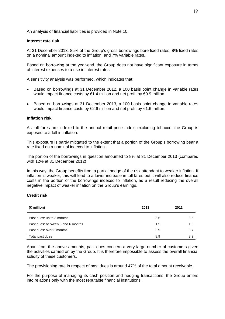An analysis of financial liabilities is provided in Note 10.

#### **Interest rate risk**

At 31 December 2013, 85% of the Group's gross borrowings bore fixed rates, 8% fixed rates on a nominal amount indexed to inflation, and 7% variable rates.

Based on borrowing at the year-end, the Group does not have significant exposure in terms of interest expenses to a rise in interest rates.

A sensitivity analysis was performed, which indicates that:

- Based on borrowings at 31 December 2012, a 100 basis point change in variable rates would impact finance costs by €1.4 million and net profit by €0.9 million.
- Based on borrowings at 31 December 2013, a 100 basis point change in variable rates would impact finance costs by €2.6 million and net profit by €1.6 million.

#### **Inflation risk**

As toll fares are indexed to the annual retail price index, excluding tobacco, the Group is exposed to a fall in inflation.

This exposure is partly mitigated to the extent that a portion of the Group's borrowing bear a rate fixed on a nominal indexed to inflation.

The portion of the borrowings in question amounted to 8% at 31 December 2013 (compared with 12% at 31 December 2012).

In this way, the Group benefits from a partial hedge of the risk attendant to weaker inflation. If inflation is weaker, this will lead to a lower increase in toll fares but it will also reduce finance costs in the portion of the borrowings indexed to inflation, as a result reducing the overall negative impact of weaker inflation on the Group's earnings.

#### **Credit risk**

| $(\in$ million)                   | 2013 | 2012 |
|-----------------------------------|------|------|
| Past dues: up to 3 months         | 3.5  | 3.5  |
| Past dues: between 3 and 6 months | 1.5  | 1.0  |
| Past dues: over 6 months          | 3.9  | 3.7  |
| Total past dues                   | 8.9  | 8.2  |

Apart from the above amounts, past dues concern a very large number of customers given the activities carried on by the Group. It is therefore impossible to assess the overall financial solidity of these customers.

The provisioning rate in respect of past dues is around 47% of the total amount receivable.

For the purpose of managing its cash position and hedging transactions, the Group enters into relations only with the most reputable financial institutions.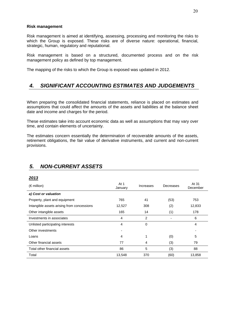#### **Risk management**

Risk management is aimed at identifying, assessing, processing and monitoring the risks to which the Group is exposed. These risks are of diverse nature: operational, financial, strategic, human, regulatory and reputational.

Risk management is based on a structured, documented process and on the risk management policy as defined by top management.

The mapping of the risks to which the Group is exposed was updated in 2012.

# *4. SIGNIFICANT ACCOUNTING ESTIMATES AND JUDGEMENTS*

When preparing the consolidated financial statements, reliance is placed on estimates and assumptions that could affect the amounts of the assets and liabilities at the balance sheet date and income and charges for the period.

These estimates take into account economic data as well as assumptions that may vary over time, and contain elements of uncertainty.

The estimates concern essentially the determination of recoverable amounts of the assets, retirement obligations, the fair value of derivative instruments, and current and non-current provisions.

# *5. NON-CURRENT ASSETS*

#### *2013*

| $(\epsilon$ million)                       | At 1<br>January | Increases | Decreases | At 31<br>December |
|--------------------------------------------|-----------------|-----------|-----------|-------------------|
| a) Cost or valuation                       |                 |           |           |                   |
| Property, plant and equipment              | 765             | 41        | (53)      | 753               |
| Intangible assets arising from concessions | 12,527          | 308       | (2)       | 12,833            |
| Other intangible assets                    | 165             | 14        | (1)       | 178               |
| Investments in associates                  | 4               | 2         |           | 6                 |
| Unlisted participating interests           | 4               | 0         |           | 4                 |
| Other investments                          |                 |           |           |                   |
| Loans                                      | 4               | 1         | (0)       | 5                 |
| Other financial assets                     | 77              | 4         | (3)       | 79                |
| Total other financial assets               | 86              | 5         | (3)       | 88                |
| Total                                      | 13,548          | 370       | (60)      | 13,858            |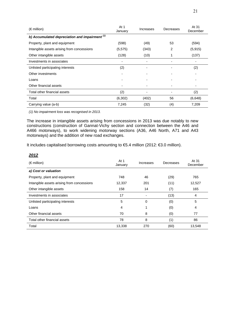| $(\epsilon$ million)                             | At 1<br>January | Increases      | Decreases | At 31<br>December |
|--------------------------------------------------|-----------------|----------------|-----------|-------------------|
| b) Accumulated depreciation and impairment $(1)$ |                 |                |           |                   |
| Property, plant and equipment                    | (598)           | (49)           | 53        | (594)             |
| Intangible assets arising from concessions       | (5, 575)        | (343)          | 2         | (5, 915)          |
| Other intangible assets                          | (128)           | (10)           |           | (137)             |
| Investments in associates                        |                 |                |           |                   |
| Unlisted participating interests                 | (2)             | $\blacksquare$ |           | (2)               |
| Other investments                                |                 |                |           |                   |
| Loans                                            |                 |                |           |                   |
| Other financial assets                           |                 |                |           |                   |
| Total other financial assets                     | (2)             |                |           | (2)               |
| Total                                            | (6,302)         | (402)          | 56        | (6,648)           |
| Carrying value (a-b)                             | 7,245           | (32)           | (4)       | 7,209             |

*(1) No impairment loss was recognised in 2013.* 

The increase in intangible assets arising from concessions in 2013 was due notably to new constructions (construction of Gannat-Vichy section and connection between the A46 and A466 motorways), to work widening motorway sections (A36, A46 North, A71 and A43 motorways) and the addition of new road exchanges.

It includes capitalised borrowing costs amounting to €5.4 million (2012: €3.0 million).

| 2012                                       |                 |           |           |                   |
|--------------------------------------------|-----------------|-----------|-----------|-------------------|
| $(\epsilon$ million)                       | At 1<br>January | Increases | Decreases | At 31<br>December |
| a) Cost or valuation                       |                 |           |           |                   |
| Property, plant and equipment              | 748             | 46        | (29)      | 765               |
| Intangible assets arising from concessions | 12,337          | 201       | (11)      | 12,527            |
| Other intangible assets                    | 158             | 14        | (7)       | 165               |
| Investments in associates                  | 17              |           | (13)      | 4                 |
| Unlisted participating interests           | 5               | 0         | (0)       | 5                 |
| Loans                                      | 4               |           | (0)       | 4                 |
| Other financial assets                     | 70              | 8         | (0)       | 77                |
| Total other financial assets               | 78              | 8         | (1)       | 86                |
| Total                                      | 13,338          | 270       | (60)      | 13,548            |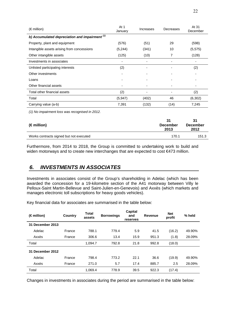| $(\epsilon$ million)                             | At 1<br>January | Increases | Decreases | At 31<br>December |  |
|--------------------------------------------------|-----------------|-----------|-----------|-------------------|--|
| b) Accumulated depreciation and impairment $(1)$ |                 |           |           |                   |  |
| Property, plant and equipment                    | (576)           | (51)      | 29        | (598)             |  |
| Intangible assets arising from concessions       | (5,244)         | (341)     | 10        | (5, 575)          |  |
| Other intangible assets                          | (125)           | (10)      | 7         | (128)             |  |
| Investments in associates                        |                 |           |           |                   |  |
| Unlisted participating interests                 | (2)             |           |           | (2)               |  |
| Other investments                                |                 |           |           |                   |  |
| Loans                                            |                 |           |           |                   |  |
| Other financial assets                           |                 |           |           |                   |  |
| Total other financial assets                     | (2)             |           |           | (2)               |  |
| Total                                            | (5,947)         | (402)     | 46        | (6,302)           |  |
| Carrying value (a-b)                             | 7,391           | (132)     | (14)      | 7,245             |  |

*(1) No impairment loss was recognised in 2012.* 

| $(\epsilon$ million)                    | 31<br><b>December</b><br>2013 | 31<br><b>December</b><br>2012 |
|-----------------------------------------|-------------------------------|-------------------------------|
| Works contracts signed but not executed | 170.1                         | 151.3                         |
|                                         |                               |                               |

Furthermore, from 2014 to 2018, the Group is committed to undertaking work to build and widen motorways and to create new interchanges that are expected to cost €473 million.

# *6. INVESTMENTS IN ASSOCIATES*

Investments in associates consist of the Group's shareholding in Adelac (which has been awarded the concession for a 19-kilometre section of the A41 motorway between Villy le Pelloux-Saint Martin-Bellevue and Saint-Julien-en-Genevois) and Axxès (which markets and manages electronic toll subscriptions for heavy goods vehicles).

Key financial data for associates are summarised in the table below:

| $(\epsilon$ million) | Country | <b>Total</b><br>assets | <b>Borrowings</b> | <b>Capital</b><br>and<br>reserves | <b>Revenue</b> | <b>Net</b><br>profit | % held |
|----------------------|---------|------------------------|-------------------|-----------------------------------|----------------|----------------------|--------|
| 31 December 2013     |         |                        |                   |                                   |                |                      |        |
| Adelac               | France  | 788.1                  | 779.4             | 5.9                               | 41.5           | (16.2)               | 49.90% |
| Axxès                | France  | 306.6                  | 13.4              | 15.9                              | 951.3          | (1.8)                | 28.09% |
| Total                |         | 1,094.7                | 792.8             | 21.8                              | 992.8          | (18.0)               |        |
| December 2012<br>31  |         |                        |                   |                                   |                |                      |        |
| Adelac               | France  | 798.4                  | 773.2             | 22.1                              | 36.6           | (19.9)               | 49.90% |
| Axxès                | France  | 271.0                  | 5.7               | 17.4                              | 885.7          | 2.5                  | 28.09% |
| Total                |         | 1,069.4                | 778.9             | 39.5                              | 922.3          | (17.4)               |        |

Changes in investments in associates during the period are summarised in the table below: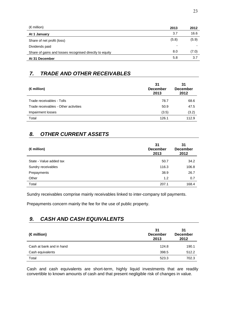| $(\epsilon$ million)                                    | 2013  | 2012  |
|---------------------------------------------------------|-------|-------|
| At 1 January                                            | 3.7   | 16.6  |
| Share of net profit (loss)                              | (5.8) | (5.9) |
| Dividends paid                                          |       |       |
| Share of gains and losses recognised directly to equity | 8.0   | (7.0) |
| At 31 December                                          | 5.8   | 3.7   |

# *7. TRADE AND OTHER RECEIVABLES*

| (€million)                           | 31<br><b>December</b><br>2013 | 31<br><b>December</b><br>2012 |
|--------------------------------------|-------------------------------|-------------------------------|
| Trade receivables - Tolls            | 78.7                          | 68.6                          |
| Trade receivables - Other activities | 50.9                          | 47.5                          |
| Impairment losses                    | (3.5)                         | (3.2)                         |
| Total                                | 126.1                         | 112.9                         |

# *8. OTHER CURRENT ASSETS*

| $(\in$ million)         | 31<br><b>December</b><br>2013 | 31<br><b>December</b><br>2012 |
|-------------------------|-------------------------------|-------------------------------|
| State - Value added tax | 50.7                          | 34.2                          |
| Sundry receivables      | 116.3                         | 106.8                         |
| Prepayments             | 38.9                          | 26.7                          |
| Other                   | 1.2                           | 0.7                           |
| Total                   | 207.1                         | 168.4                         |

Sundry receivables comprise mainly receivables linked to inter-company toll payments.

Prepayments concern mainly the fee for the use of public property.

# *9. CASH AND CASH EQUIVALENTS*

| $(\epsilon$ million)     | 31<br><b>December</b><br>2013 | 31<br><b>December</b><br>2012 |
|--------------------------|-------------------------------|-------------------------------|
| Cash at bank and in hand | 124.8                         | 190.1                         |
| Cash equivalents         | 398.5                         | 512.2                         |
| Total                    | 523.3                         | 702.3                         |

Cash and cash equivalents are short-term, highly liquid investments that are readily convertible to known amounts of cash and that present negligible risk of changes in value.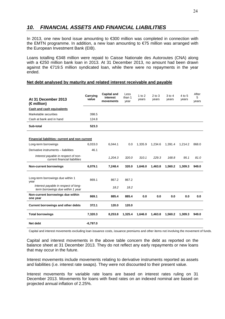# *10. FINANCIAL ASSETS AND FINANCIAL LIABILITIES*

In 2013, one new bond issue amounting to €300 million was completed in connection with the EMTN programme. In addition, a new loan amounting to €75 million was arranged with the European Investment Bank (EIB).

Loans totalling €348 million were repaid to Caisse Nationale des Autoroutes (CNA) along with a €250 million bank loan in 2013. At 31 December 2013, no amount had been drawn against the €719.5 million syndicated loan, while there were no repayments in the year ended.

#### **Net debt analysed by maturity and related interest receivable and payable**

| At 31 December 2013<br>(€million)                                         | Carrying<br>value | <b>Capital and</b><br>interest<br>movements | Less<br>than 1<br>year | 1 to $2$<br>years | $2$ to $3$<br>years | $3$ to $4$<br>years | 4 to 5<br>years | After<br>5<br>years |
|---------------------------------------------------------------------------|-------------------|---------------------------------------------|------------------------|-------------------|---------------------|---------------------|-----------------|---------------------|
| <b>Cash and cash equivalents</b>                                          |                   |                                             |                        |                   |                     |                     |                 |                     |
| Marketable securities                                                     | 398.5             |                                             |                        |                   |                     |                     |                 |                     |
| Cash at bank and in hand                                                  | 124.8             |                                             |                        |                   |                     |                     |                 |                     |
| Sub-total                                                                 | 523.3             |                                             |                        |                   |                     |                     |                 |                     |
| Financial liabilities: current and non current                            |                   |                                             |                        |                   |                     |                     |                 |                     |
| Long-term borrowings                                                      | 6,033.0           | 6.044.1                                     | 0.0                    | 1.335.9           | 1,234.6             | 1,391.4             | 1.214.2         | 868.0               |
| Derivative instruments - liabilities                                      | 46.1              |                                             |                        |                   |                     |                     |                 |                     |
| Interest payable in respect of non-<br>current financial liabilities      |                   | 1,204.3                                     | 320.0                  | 310.1             | 229.3               | 168.8               | 95.1            | 81.0                |
| <b>Non-current borrowings</b>                                             | 6,079.1           | 7,248.4                                     | 320.0                  | 1,646.0           | 1,463.8             | 1,560.2             | 1,309.3         | 949.0               |
| Long-term borrowings due within 1<br>year                                 | 869.1             | 867.2                                       | 867.2                  |                   |                     |                     |                 |                     |
| Interest payable in respect of long-<br>term borrowings due within 1 year |                   | 18.2                                        | 18.2                   |                   |                     |                     |                 |                     |
| Non-current borrowings due within<br>one year                             | 869.1             | 885.4                                       | 885.4                  | 0.0               | 0.0                 | 0.0                 | 0.0             | 0.0                 |
| <b>Current borrowings and other debts</b>                                 | 372.1             | 120.0                                       | 120.0                  |                   |                     |                     |                 |                     |
| <b>Total borrowings</b>                                                   | 7,320.3           | 8,253.8                                     | 1,325.4                | 1,646.0           | 1,463.8             | 1,560.2             | 1,309.3         | 949.0               |
| Net debt                                                                  | $-6,797.0$        |                                             |                        |                   |                     |                     |                 |                     |

Capital and interest movements excluding loan issuance costs, issuance premiums and other items not involving the movement of funds.

Capital and interest movements in the above table concern the debt as reported on the balance sheet at 31 December 2013. They do not reflect any early repayments or new loans that may occur in the future.

Interest movements include movements relating to derivative instruments reported as assets and liabilities (i.e. interest rate swaps). They were not discounted to their present value.

Interest movements for variable rate loans are based on interest rates ruling on 31 December 2013. Movements for loans with fixed rates on an indexed nominal are based on projected annual inflation of 2.25%.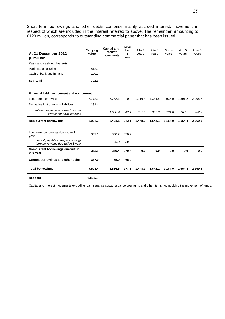Short term borrowings and other debts comprise mainly accrued interest, movement in respect of which are included in the interest referred to above. The remainder, amounting to €120 million, corresponds to outstanding commercial paper that has been issued.

| At 31 December 2012<br>$(\epsilon$ million)                               | Carrying<br>value | <b>Capital and</b><br>interest<br>movements | Less<br>than<br>1<br>year | 1 to $2$<br>years | $2$ to $3$<br>years | $3$ to $4$<br>years | 4 to 5<br>years | After 5<br>years |
|---------------------------------------------------------------------------|-------------------|---------------------------------------------|---------------------------|-------------------|---------------------|---------------------|-----------------|------------------|
| Cash and cash equivalents                                                 |                   |                                             |                           |                   |                     |                     |                 |                  |
| Marketable securities                                                     | 512.2             |                                             |                           |                   |                     |                     |                 |                  |
| Cash at bank and in hand                                                  | 190.1             |                                             |                           |                   |                     |                     |                 |                  |
| Sub-total                                                                 | 702.3             |                                             |                           |                   |                     |                     |                 |                  |
| Financial liabilities: current and non current                            |                   |                                             |                           |                   |                     |                     |                 |                  |
| Long-term borrowings                                                      | 6,772.9           | 6.782.1                                     | 0.0                       | 1.116.4           | 1.334.8             | 933.0               | 1.391.2         | 2.006.7          |
| Derivative instruments - liabilities                                      | 131.4             |                                             |                           |                   |                     |                     |                 |                  |
| Interest payable in respect of non-<br>current financial liabilities      |                   | 1,638.9                                     | 342.1                     | 332.5             | 307.3               | 231.0               | 163.2           | 262.9            |
| <b>Non-current borrowings</b>                                             | 6,904.2           | 8,421.1                                     | 342.1                     | 1,448.9           | 1,642.1             | 1,164.0             | 1,554.4         | 2,269.5          |
| Long-term borrowings due within 1<br>year                                 | 352.1             | 350.2                                       | 350.2                     |                   |                     |                     |                 |                  |
| Interest payable in respect of long-<br>term borrowings due within 1 year |                   | 20.3                                        | 20.3                      |                   |                     |                     |                 |                  |
| Non-current borrowings due within<br>one year                             | 352.1             | 370.4                                       | 370.4                     | 0.0               | 0.0                 | 0.0                 | 0.0             | 0.0              |
| <b>Current borrowings and other debts</b>                                 | 337.0             | 65.0                                        | 65.0                      |                   |                     |                     |                 |                  |
| <b>Total borrowings</b>                                                   | 7,593.4           | 8,856.5                                     | 777.5                     | 1,448.9           | 1,642.1             | 1,164.0             | 1,554.4         | 2,269.5          |
| Net debt                                                                  | (6,891.1)         |                                             |                           |                   |                     |                     |                 |                  |

Capital and interest movements excluding loan issuance costs, issuance premiums and other items not involving the movement of funds.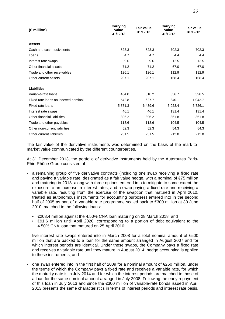| (€million)                          | <b>Carrying</b><br>value<br>31/12/13 |         | <b>Carrying</b><br>value<br>31/12/12 | <b>Fair value</b><br>31/12/12 |
|-------------------------------------|--------------------------------------|---------|--------------------------------------|-------------------------------|
| <b>Assets</b>                       |                                      |         |                                      |                               |
|                                     | 523.3                                | 523.3   | 702.3                                | 702.3                         |
| Cash and cash equivalents           |                                      |         |                                      |                               |
| Loans                               | 4.7                                  | 4.7     | 4.4                                  | 4.4                           |
| Interest rate swaps                 | 9.6                                  | 9.6     | 12.5                                 | 12.5                          |
| Other financial assets              | 71.2                                 | 71.2    | 67.0                                 | 67.0                          |
| Trade and other receivables         | 126.1                                | 126.1   | 112.9                                | 112.9                         |
| Other current assets                | 207.1                                | 207.1   | 168.4                                | 168.4                         |
| <b>Liabilities</b>                  |                                      |         |                                      |                               |
| Variable-rate loans                 | 464.0                                | 510.2   | 336.7                                | 398.5                         |
| Fixed rate loans on indexed nominal | 542.8                                | 627.7   | 840.1                                | 1,042.7                       |
| Fixed rate loans                    | 5,871.3                              | 6,439.6 | 5,923.4                              | 6,726.1                       |
| Interest rate swaps                 | 46.1                                 | 46.1    | 131.4                                | 131.4                         |
| Other financial liabilities         | 396.2                                | 396.2   | 361.8                                | 361.8                         |
| Trade and other payables            | 113.6                                | 113.6   | 104.5                                | 104.5                         |
| Other non-current liabilities       | 52.3                                 | 52.3    | 54.3                                 | 54.3                          |
| Other current liabilities           | 231.5                                | 231.5   | 212.8                                | 212.8                         |

The fair value of the derivative instruments was determined on the basis of the mark-tomarket value communicated by the different counterparties.

At 31 December 2013, the portfolio of derivative instruments held by the Autoroutes Paris-Rhin-Rhône Group consisted of:

- a remaining group of five derivative contracts (including one swap receiving a fixed rate and paying a variable rate, designated as a fair value hedge, with a nominal of  $\epsilon$ 75 million and maturing in 2018, along with three options entered into to mitigate to some extent the exposure to an increase in interest rates, and a swap paying a fixed rate and receiving a variable rate, resulting from the exercise of the swaption that matured in April 2010, treated as autonomous instruments for accounting purposes) entered into in the second half of 2005 as part of a variable rate programme scaled back to €300 million at 30 June 2010, matched to the following loans:
	- €208.4 million against the 4.50% CNA loan maturing on 28 March 2018; and
	- €91.6 million until April 2020, corresponding to a portion of debt equivalent to the 4.50% CNA loan that matured on 25 April 2010;
- five interest rate swaps entered into in March 2008 for a total nominal amount of  $\epsilon$ 500 million that are backed to a loan for the same amount arranged in August 2007 and for which interest periods are identical. Under these swaps, the Company pays a fixed rate and receives a variable rate until they mature in August 2014; hedge accounting is applied to these instruments; and
- one swap entered into in the first half of 2009 for a nominal amount of  $\epsilon$ 250 million, under the terms of which the Company pays a fixed rate and receives a variable rate, for which the maturity date is in July 2014 and for which the interest periods are matched to those of a loan for the same nominal amount arranged in July 2008. Following the early repayment of this loan in July 2013 and since the €300 million of variable-rate bonds issued in April 2013 presents the same characteristics in terms of interest periods and interest rate basis,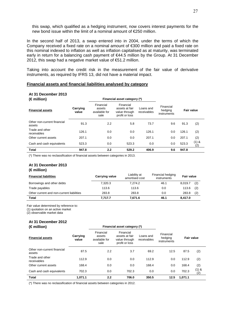this swap, which qualified as a hedging instrument, now covers interest payments for the new bond issue within the limit of a nominal amount of €250 million.

In the second half of 2013, a swap entered into in 2004, under the terms of which the Company received a fixed rate on a nominal amount of €300 million and paid a fixed rate on this nominal indexed to inflation as well as inflation capitalised as at maturity, was terminated early in return for a balancing cash payment of €44.5 million by the Group. At 31 December 2012, this swap had a negative market value of €51.2 million.

Taking into account the credit risk in the measurement of the fair value of derivative instruments, as required by IFRS 13, did not have a material impact.

#### **Financial assets and financial liabilities analysed by category**

#### **At 31 December 2013**

| (€million)                            |                   |                                                                                                                | Financial asset category (*) |                          |                                     |       |              |
|---------------------------------------|-------------------|----------------------------------------------------------------------------------------------------------------|------------------------------|--------------------------|-------------------------------------|-------|--------------|
| <b>Financial assets</b>               | Carrying<br>value | Financial<br>Financial<br>assets at fair<br>assets<br>available for<br>value through<br>profit or loss<br>sale |                              | Loans and<br>receivables | Financial<br>hedging<br>instruments |       | Fair value   |
| Other non-current financial<br>assets | 91.3              | 2.2                                                                                                            | 5.8                          | 73.7                     | 9.6                                 | 91.3  | (2)          |
| Trade and other<br>receivables        | 126.1             | 0.0                                                                                                            | 0.0                          | 126.1                    | 0.0                                 | 126.1 | (2)          |
| Other current assets                  | 207.1             | 0.0                                                                                                            | 0.0                          | 207.1                    | 0.0                                 | 207.1 | (2)          |
| Cash and cash equivalents             | 523.3             | 0.0                                                                                                            | 523.3                        | 0.0                      | 0.0                                 | 523.3 | (1) &<br>(2) |
| <b>Total</b>                          | 947.8             | 2.2                                                                                                            | 529.2                        | 406.9                    | 9.6                                 | 947.8 |              |

(\*) There was no reclassification of financial assets between categories in 2013.

#### **At 31 December 2013 (€ million)**

| <b>Financial liabilities</b>              | <b>Carrying value</b> | Liability at<br>amortised cost | Financial hedging<br>instruments | Fair value |     |
|-------------------------------------------|-----------------------|--------------------------------|----------------------------------|------------|-----|
| Borrowings and other debts                | 7.320.3               | 7.274.2                        | 46.1                             | 8.019.7    | (2) |
| Trade payables                            | 113.6                 | 113.6                          | 0.0                              | 113.6      | (2) |
| Other current and non-current liabilities | 283.8                 | 283.8                          | 0.0                              | 283.8      | (2) |
| Total                                     | 7,717.7               | 7,671.6                        | 46.1                             | 8,417.0    |     |

Fair value determined by reference to:

(1) quotation on an active market

(2) observable market data

#### **At 31 December 2012 (€ million) Financial asset category (\*)**

| <b>Financial assets</b>               | Carrying<br>value | Financial<br>assets<br>available for<br>sale | Financial<br>assets at fair<br>value through<br>profit or loss | Loans and<br>receivables | Financial<br>hedging<br>instruments | <b>Fair value</b> |                |
|---------------------------------------|-------------------|----------------------------------------------|----------------------------------------------------------------|--------------------------|-------------------------------------|-------------------|----------------|
| Other non-current financial<br>assets | 87.5              | 2.2                                          | 3.7                                                            | 69.2                     | 12.5                                | 87.5              | (2)            |
| Trade and other<br>receivables        | 112.9             | 0.0                                          | 0.0                                                            | 112.9                    | 0.0                                 | 112.9             | (2)            |
| Other current assets                  | 168.4             | 0.0                                          | 0.0                                                            | 168.4                    | 0.0                                 | 168.4             | (2)            |
| Cash and cash equivalents             | 702.3             | 0.0                                          | 702.3                                                          | 0.0                      | 0.0                                 | 702.3             | $(1)$ &<br>(2) |
| <b>Total</b>                          | 1,071.1           | 2.2                                          | 706.0                                                          | 350.5                    | 12.5                                | 1,071.1           |                |

(\*) There was no reclassification of financial assets between categories in 2012.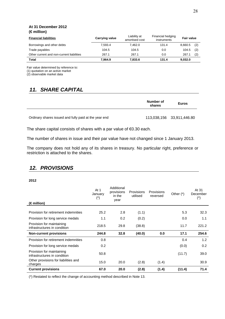#### **At 31 December 2012 (€ million)**

| <b>Financial liabilities</b>              | <b>Carrying value</b> | Liability at<br>amortised cost | Financial hedging<br>instruments | Fair value |     |
|-------------------------------------------|-----------------------|--------------------------------|----------------------------------|------------|-----|
| Borrowings and other debts                | 7.593.4               | 7.462.0                        | 131.4                            | 8,660.5    | (2) |
| Trade payables                            | 104.5                 | 104.5                          | 0.0                              | 104.5      | (2) |
| Other current and non-current liabilities | 267.1                 | 267.1                          | 0.0                              | 267.1      | (2) |
| Total                                     | 7.964.9               | 7,833.6                        | 131.4                            | 9,032.0    |     |

Fair value determined by reference to:

(1) quotation on an active market

(2) observable market data

# *11. SHARE CAPITAL*

|                                                       | Number of<br>shares | <b>Euros</b>              |
|-------------------------------------------------------|---------------------|---------------------------|
| Ordinary shares issued and fully paid at the year end |                     | 113,038,156 33,911,446.80 |

The share capital consists of shares with a par value of €0.30 each.

The number of shares in issue and their par value have not changed since 1 January 2013.

The company does not hold any of its shares in treasury. No particular right, preference or restriction is attached to the shares.

# *12. PROVISIONS*

#### **2012**

| (€million)                                                | At 1<br>January<br>$(\dot{\phantom{a}})$ | Additional<br>provisions<br>in the<br>year | Provisions<br>utilised | Provisions<br>reversed | Other $(*)$ | At 31<br>December<br>$(*)$ |
|-----------------------------------------------------------|------------------------------------------|--------------------------------------------|------------------------|------------------------|-------------|----------------------------|
|                                                           |                                          |                                            |                        |                        |             |                            |
| Provision for retirement indemnities                      | 25.2                                     | 2.8                                        | (1.1)                  |                        | 5.3         | 32.3                       |
| Provision for long service medals                         | 1.1                                      | 0.2                                        | (0.2)                  |                        | 0.0         | 1.1                        |
| Provision for maintaining<br>infrastructures in condition | 218.5                                    | 29.8                                       | (38.8)                 |                        | 11.7        | 221.2                      |
| <b>Non-current provisions</b>                             | 244.8                                    | 32.8                                       | (40.0)                 | 0.0                    | 17.1        | 254.6                      |
| Provision for retirement indemnities                      | 0.8                                      |                                            |                        |                        | 0.4         | 1.2                        |
| Provision for long service medals                         | 0.2                                      |                                            |                        |                        | (0.0)       | 0.2                        |
| Provision for maintaining<br>infrastructures in condition | 50.8                                     |                                            |                        |                        | (11.7)      | 39.0                       |
| Other provisions for liabilities and<br>charges           | 15.0                                     | 20.0                                       | (2.8)                  | (1.4)                  |             | 30.9                       |
| <b>Current provisions</b>                                 | 67.0                                     | 20.0                                       | (2.8)                  | (1.4)                  | (11.4)      | 71.4                       |

(\*) Restated to reflect the change of accounting method described in Note 13.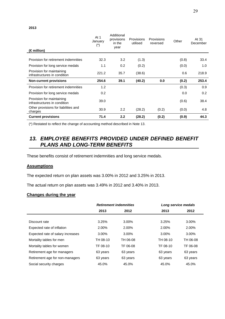| (€million)                                                | At 1<br>January<br>$(\dot{\phantom{a}})$ | Additional<br>provisions<br>in the<br>vear | <b>Provisions</b><br>utilised | Provisions<br>reversed | Other | At 31<br>December |
|-----------------------------------------------------------|------------------------------------------|--------------------------------------------|-------------------------------|------------------------|-------|-------------------|
|                                                           |                                          |                                            |                               |                        |       |                   |
| Provision for retirement indemnities                      | 32.3                                     | 3.2                                        | (1.3)                         |                        | (0.8) | 33.4              |
| Provision for long service medals                         | 1.1                                      | 0.2                                        | (0.2)                         |                        | (0.0) | 1.0               |
| Provision for maintaining<br>infrastructures in condition | 221.2                                    | 35.7                                       | (38.6)                        |                        | 0.6   | 218.9             |
| <b>Non-current provisions</b>                             | 254.6                                    | 39.1                                       | (40.2)                        | 0.0                    | (0.2) | 253.4             |
| Provision for retirement indemnities                      | 1.2                                      |                                            |                               |                        | (0.3) | 0.9               |
| Provision for long service medals                         | 0.2                                      |                                            |                               |                        | 0.0   | 0.2               |
| Provision for maintaining<br>infrastructures in condition | 39.0                                     |                                            |                               |                        | (0.6) | 38.4              |
| Other provisions for liabilities and<br>charges           | 30.9                                     | $2.2\phantom{0}$                           | (28.2)                        | (0.2)                  | (0.0) | 4.8               |
| <b>Current provisions</b>                                 | 71.4                                     | 2.2                                        | (28.2)                        | (0.2)                  | (0.9) | 44.3              |

(\*) Restated to reflect the change of accounting method described in Note 13.

# *13. EMPLOYEE BENEFITS PROVIDED UNDER DEFINED BENEFIT PLANS AND LONG-TERM BENEFITS*

These benefits consist of retirement indemnities and long service medals.

#### **Assumptions**

The expected return on plan assets was 3.00% in 2012 and 3.25% in 2013.

The actual return on plan assets was 3.49% in 2012 and 3.40% in 2013.

### **Changes during the year**

|                                   | <b>Retirement indemnities</b> |          | Long service medals |          |
|-----------------------------------|-------------------------------|----------|---------------------|----------|
|                                   | 2013                          | 2012     | 2013                | 2012     |
|                                   |                               |          |                     |          |
| Discount rate                     | 3.25%                         | $3.00\%$ | 3.25%               | $3.00\%$ |
| Expected rate of inflation        | 2.00%                         | 2.00%    | 2.00%               | 2.00%    |
| Expected rate of salary increases | 3.00%                         | $3.00\%$ | 3.00%               | 3.00%    |
| Mortality tables for men          | TH 08-10                      | TH 06-08 | TH 08-10            | TH 06-08 |
| Mortality tables for women        | TF 08-10                      | TF 06-08 | TF 08-10            | TF 06-08 |
| Retirement age for managers       | 63 years                      | 63 years | 63 years            | 63 years |
| Retirement age for non-managers   | 63 years                      | 63 years | 63 years            | 63 years |
| Social security charges           | 45.0%                         | 45.0%    | 45.0%               | 45.0%    |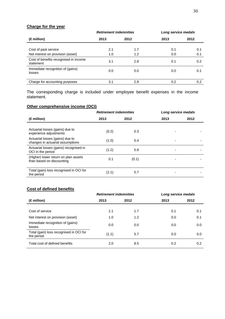### **Charge for the year**

|                                                    | <b>Retirement indemnities</b> |      | Long service medals |      |  |
|----------------------------------------------------|-------------------------------|------|---------------------|------|--|
| (€million)                                         | 2013                          | 2012 | 2013                | 2012 |  |
| Cost of past service                               | 2.1                           | 1.7  | 0.1                 | 0.1  |  |
| Net interest on provision (asset)                  | 1.0                           | 1.2  | 0.0                 | 0.1  |  |
| Cost of benefits recognised in income<br>statement | 3.1                           | 2.8  | 0.1                 | 0.2  |  |
| Immediate recognition of (gains)<br>losses         | 0.0                           | 0.0  | 0.0                 | 0.1  |  |
| Charge for accounting purposes                     | 3.1                           | 2.8  | 0.2                 | 0.2  |  |

The corresponding charge is included under employee benefit expenses in the income statement.

# **Other comprehensive income (OCI)**

|                                                                     | <b>Retirement indemnities</b> |       | Long service medals |      |
|---------------------------------------------------------------------|-------------------------------|-------|---------------------|------|
| $(\in$ million)                                                     | 2013                          | 2012  | 2013                | 2012 |
| Actuarial losses (gains) due to<br>experience adjustments           | (0.2)                         | 0.3   |                     |      |
| Actuarial losses (gains) due to<br>changes in actuarial assumptions | (1.0)                         | 5.4   |                     |      |
| Actuarial losses (gains) recognised in<br>OCI in the period         | (1.2)                         | 5.8   |                     |      |
| (Higher) lower return on plan assets<br>than based on discounting   | 0.1                           | (0.1) |                     |      |
| Total (gain) loss recognised in OCI for<br>the period               | (1.1)                         | 5.7   |                     |      |

### **Cost of defined benefits**

|                                                       | <b>Retirement indemnities</b> |      | Long service medals |      |
|-------------------------------------------------------|-------------------------------|------|---------------------|------|
| $(\epsilon$ million)                                  | 2013                          | 2012 | 2013                | 2012 |
|                                                       |                               |      |                     |      |
| Cost of service                                       | 2.1                           | 1.7  | 0.1                 | 0.1  |
| Net interest on provision (asset)                     | 1.0                           | 1.2  | 0.0                 | 0.1  |
| Immediate recognition of (gains)<br>losses            | 0.0                           | 0.0  | 0.0                 | 0.0  |
| Total (gain) loss recognised in OCI for<br>the period | (1.1)                         | 5.7  | 0.0                 | 0.0  |
| Total cost of defined benefits                        | 2.0                           | 8.5  | 0.2                 | 0.2  |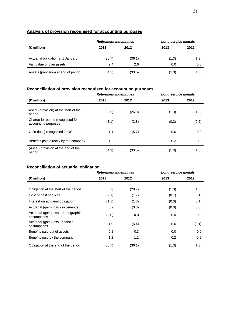### **Analysis of provision recognised for accounting purposes**

|                                     | <b>Retirement indemnities</b> |        | Long service medals |       |  |
|-------------------------------------|-------------------------------|--------|---------------------|-------|--|
| $(\epsilon$ million)                | 2013                          | 2012   | 2013                | 2012  |  |
|                                     |                               |        |                     |       |  |
| Actuarial obligation at 1 January   | (36.7)                        | (36.1) | (1.3)               | (1.3) |  |
| Fair value of plan assets           | 2.4                           | 2.6    | 0.0                 | 0.0   |  |
| Assets (provision) at end of period | (34.3)                        | (33.5) | (1.3)               | (1.3) |  |

# **Reconciliation of provision recognised for accounting purposes**

|                                                         | <b>Retirement indemnities</b> |        | Long service medals |       |
|---------------------------------------------------------|-------------------------------|--------|---------------------|-------|
| $(\epsilon$ million)                                    | 2013                          | 2012   | 2013                | 2012  |
| Asset (provision) at the start of the<br>period         | (33.5)                        | (26.0) | (1.3)               | (1.3) |
| Charge for period recognised for<br>accounting purposes | (3.1)                         | (2.8)  | (0.2)               | (0.2) |
| Gain (loss) recognised in OCI                           | 1.1                           | (5.7)  | 0.0                 | 0.0   |
| Benefits paid directly by the company                   | 1.2                           | 1.1    | 0.2                 | 0.2   |
| (Asset) provision at the end of the<br>period           | (34.3)                        | (33.5) | (1.3)               | (1.3) |

# **Reconciliation of actuarial obligation**

|                                                    | <b>Retirement indemnities</b> |        | Long service medals |       |
|----------------------------------------------------|-------------------------------|--------|---------------------|-------|
| $(\epsilon$ million)                               | 2013                          | 2012   | 2013                | 2012  |
|                                                    |                               |        |                     |       |
| Obligation at the start of the period              | (36.1)                        | (28.7) | (1.3)               | (1.3) |
| Cost of past services                              | (2.1)                         | (1.7)  | (0.1)               | (0.1) |
| Interest on actuarial obligation                   | (1.1)                         | (1.3)  | (0.0)               | (0.1) |
| Actuarial (gain) loss - experience                 | 0.2                           | (0.3)  | (0.0)               | (0.0) |
| Actuarial (gain) loss - demographic<br>assumptions | (0.0)                         | 0.0    | 0.0                 | 0.0   |
| Actuarial (gain) loss - financial<br>assumptions   | 1.0                           | (5.4)  | 0.0                 | (0.1) |
| Benefits paid out of assets                        | 0.2                           | 0.3    | 0.0                 | 0.0   |
| Benefits paid by the company                       | 1.2                           | 1.1    | 0.2                 | 0.2   |
| Obligation at the end of the period                | (36.7)                        | (36.1) | (1.3)               | (1.3) |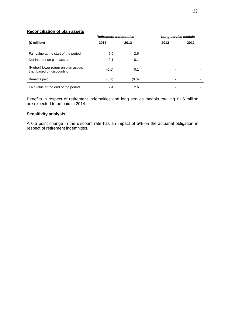### **Reconciliation of plan assets**

|                                                                   | <b>Retirement indemnities</b> |       | Long service medals |      |
|-------------------------------------------------------------------|-------------------------------|-------|---------------------|------|
| $(\epsilon$ million)                                              | 2013                          | 2012  | 2013                | 2012 |
|                                                                   |                               |       |                     |      |
| Fair value at the start of the period                             | 2.6                           | 2.6   |                     |      |
| Net interest on plan assets                                       | 0.1                           | 0.1   |                     |      |
| (Higher) lower return on plan assets<br>than based on discounting | (0.1)                         | 0.1   |                     |      |
| Benefits paid                                                     | (0.2)                         | (0.3) |                     |      |
| Fair value at the end of the period                               | 2.4                           | 2.6   |                     |      |

Benefits in respect of retirement indemnities and long service medals totalling €1.5 million are expected to be paid in 2014.

#### **Sensitivity analysis**

A 0.5 point change in the discount rate has an impact of 5% on the actuarial obligation in respect of retirement indemnities.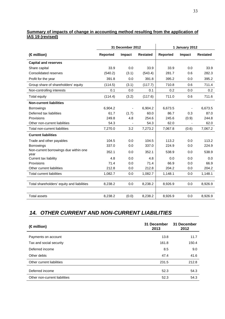### **Summary of impacts of change in accounting method resulting from the application of IAS 19 (revised)**

|                                               |                 | 31 December 2012 |                 |                 | 1 January 2012 |                 |
|-----------------------------------------------|-----------------|------------------|-----------------|-----------------|----------------|-----------------|
| (€million)                                    | <b>Reported</b> | Impact           | <b>Restated</b> | <b>Reported</b> | Impact         | <b>Restated</b> |
| <b>Capital and reserves</b>                   |                 |                  |                 |                 |                |                 |
| Share capital                                 | 33.9            | 0.0              | 33.9            | 33.9            | 0.0            | 33.9            |
| Consolidated reserves                         | (540.2)         | (3.1)            | (543.4)         | 281.7           | 0.6            | 282.3           |
| Profit for the year                           | 391.8           | 0.0              | 391.8           | 395.2           | 0.0            | 395.2           |
| Group share of shareholders' equity           | (114.5)         | (3.1)            | (117.7)         | 710.8           | 0.6            | 711.4           |
| Non-controlling interests                     | 0.1             | 0.0              | 0.1             | 0.2             | 0.0            | 0.2             |
| Total equity                                  | (114.4)         | (3.2)            | (117.6)         | 711.0           | 0.6            | 711.6           |
| <b>Non-current liabilities</b>                |                 |                  |                 |                 |                |                 |
| <b>Borrowings</b>                             | 6.904.2         |                  | 6.904.2         | 6,673.5         |                | 6,673.5         |
| Deferred tax liabilities                      | 61.7            | (1.7)            | 60.0            | 86.7            | 0.3            | 87.0            |
| Provisions                                    | 249.8           | 4.8              | 254.6           | 245.6           | (0.9)          | 244.8           |
| Other non-current liabilities                 | 54.3            |                  | 54.3            | 62.0            |                | 62.0            |
| Total non-current liabilities                 | 7,270.0         | 3.2              | 7,273.2         | 7,067.8         | (0.6)          | 7,067.2         |
| <b>Current liabilities</b>                    |                 |                  |                 |                 |                |                 |
| Trade and other payables                      | 104.5           | 0.0              | 104.5           | 113.2           | 0.0            | 113.2           |
| <b>Borrowings</b>                             | 337.0           | 0.0              | 337.0           | 224.9           | 0.0            | 224.9           |
| Non-current borrowings due within one<br>vear | 352.1           | 0.0              | 352.1           | 538.9           | 0.0            | 538.9           |
| Current tax liability                         | 4.8             | 0.0              | 4.8             | 0.0             | 0.0            | 0.0             |
| Provisions                                    | 71.4            | 0.0              | 71.4            | 66.9            | 0.0            | 66.9            |
| Other current liabilities                     | 212.8           | 0.0              | 212.8           | 204.2           | 0.0            | 204.2           |
| <b>Total current liabilities</b>              | 1,082.7         | 0.0              | 1,082.7         | 1,148.1         | 0.0            | 1,148.1         |
| Total shareholders' equity and liabilities    | 8,238.2         | 0.0              | 8,238.2         | 8,926.9         | 0.0            | 8,926.9         |
| <b>Total assets</b>                           | 8,238.2         | (0.0)            | 8,238.2         | 8,926.9         | 0.0            | 8,926.9         |

# *14. OTHER CURRENT AND NON-CURRENT LIABILITIES*

| (€million)                    | 31 December<br>2013 | 31 December<br>2012 |
|-------------------------------|---------------------|---------------------|
| Payments on account           | 13.8                | 11.7                |
| Tax and social security       | 161.8               | 150.4               |
| Deferred income               | 8.5                 | 9.0                 |
| Other debts                   | 47.4                | 41.6                |
| Other current liabilities     | 231.5               | 212.8               |
| Deferred income               | 52.3                | 54.3                |
| Other non-current liabilities | 52.3                | 54.3                |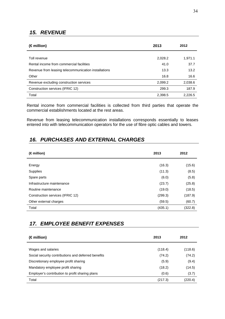# *15. REVENUE*

| (€million)                                           | 2013    | 2012    |
|------------------------------------------------------|---------|---------|
| Toll revenue                                         | 2,028.2 | 1,971.1 |
| Rental income from commercial facilities             | 41.0    | 37.7    |
| Revenue from leasing telecommunication installations | 13.3    | 13.2    |
| Other                                                | 16.8    | 16.6    |
| Revenue excluding construction services              | 2,099.2 | 2,038.6 |
| Construction services (IFRIC 12)                     | 299.3   | 187.9   |
| Total                                                | 2,398.5 | 2.226.5 |

Rental income from commercial facilities is collected from third parties that operate the commercial establishments located at the rest areas.

Revenue from leasing telecommunication installations corresponds essentially to leases entered into with telecommunication operators for the use of fibre optic cables and towers.

# *16. PURCHASES AND EXTERNAL CHARGES*

| (€million)                       | 2013    | 2012    |
|----------------------------------|---------|---------|
|                                  |         |         |
| Energy                           | (16.3)  | (15.6)  |
| Supplies                         | (11.3)  | (8.5)   |
| Spare parts                      | (6.0)   | (5.8)   |
| Infrastructure maintenance       | (23.7)  | (25.8)  |
| Routine maintenance              | (19.0)  | (18.5)  |
| Construction services (IFRIC 12) | (299.3) | (187.9) |
| Other external charges           | (59.5)  | (60.7)  |
| Total                            | (435.1) | (322.8) |

# *17. EMPLOYEE BENEFIT EXPENSES*

| (€million)                                          | 2013    | 2012    |
|-----------------------------------------------------|---------|---------|
| Wages and salaries                                  | (118.4) | (118.6) |
| Social security contributions and deferred benefits | (74.2)  | (74.2)  |
| Discretionary employee profit sharing               | (5.9)   | (9.4)   |
| Mandatory employee profit sharing                   | (18.2)  | (14.5)  |
| Employer's contribution to profit sharing plans     | (0.6)   | (3.7)   |
| Total                                               | (217.3) | (220.4) |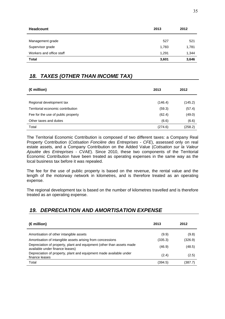| <b>Headcount</b>         | 2013  | 2012  |
|--------------------------|-------|-------|
|                          |       |       |
| Management grade         | 527   | 521   |
| Supervisor grade         | 1,783 | 1,781 |
| Workers and office staff | 1,291 | 1,344 |
| <b>Total</b>             | 3,601 | 3,646 |

# *18. TAXES (OTHER THAN INCOME TAX)*

| $(\epsilon$ million)               | 2013    | 2012    |
|------------------------------------|---------|---------|
|                                    |         |         |
| Regional development tax           | (146.4) | (145.2) |
| Territorial economic contribution  | (59.3)  | (57.4)  |
| Fee for the use of public property | (62.4)  | (49.0)  |
| Other taxes and duties             | (6.6)   | (6.6)   |
| Total                              | (274.6) | (258.2) |

The Territorial Economic Contribution is composed of two different taxes: a Company Real Property Contribution (*Cotisation Foncière des Entreprises - CFE*), assessed only on real estate assets, and a Company Contribution on the Added Value (*Cotisation sur la Valeur Ajoutée des Entreprises - CVAE*). Since 2010, these two components of the Territorial Economic Contribution have been treated as operating expenses in the same way as the local business tax before it was repealed.

The fee for the use of public property is based on the revenue, the rental value and the length of the motorway network in kilometres, and is therefore treated as an operating expense.

The regional development tax is based on the number of kilometres travelled and is therefore treated as an operating expense.

# *19. DEPRECIATION AND AMORTISATION EXPENSE*

| (€million)                                                                                               | 2013    | 2012    |
|----------------------------------------------------------------------------------------------------------|---------|---------|
| Amortisation of other intangible assets                                                                  | (9.9)   | (9.8)   |
| Amortisation of intangible assets arising from concessions                                               | (335.3) | (326.9) |
| Depreciation of property, plant and equipment (other than assets made<br>available under finance leases) | (46.9)  | (48.5)  |
| Depreciation of property, plant and equipment made available under<br>finance leases                     | (2.4)   | (2.5)   |
| Total                                                                                                    | (394.5) | (387.7) |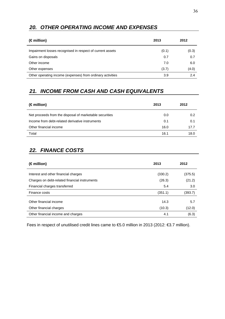# *20. OTHER OPERATING INCOME AND EXPENSES*

| $(\epsilon$ million)                                       | 2013  | 2012  |
|------------------------------------------------------------|-------|-------|
| Impairment losses recognised in respect of current assets  | (0.1) | (0.3) |
| Gains on disposals                                         | 0.7   | 0.7   |
| Other income                                               | 7.0   | 6.0   |
| Other expenses                                             | (3.7) | (4.0) |
| Other operating income (expenses) from ordinary activities | 3.9   | 2.4   |

# *21. INCOME FROM CASH AND CASH EQUIVALENTS*

| $(\epsilon$ million)                                    | 2013 | 2012 |
|---------------------------------------------------------|------|------|
| Net proceeds from the disposal of marketable securities | 0.0  | 0.2  |
| Income from debt-related derivative instruments         | 0.1  | 0.1  |
| Other financial income                                  | 16.0 | 17.7 |
| Total                                                   | 16.1 | 18.0 |

# *22. FINANCE COSTS*

| 2013    | 2012          |
|---------|---------------|
| (330.2) | (375.5)       |
| (26.3)  | (21.2)        |
| 5.4     | 3.0           |
| (351.1) | (393.7)       |
| 14.3    | 5.7<br>(12.0) |
| 4.1     | (6.3)         |
|         | (10.3)        |

Fees in respect of unutilised credit lines came to €5.0 million in 2013 (2012: €3.7 million).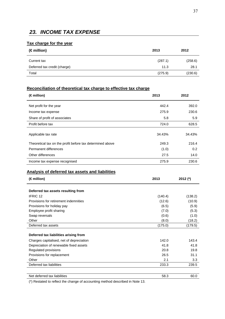# *23. INCOME TAX EXPENSE*

### **Tax charge for the year**

| $(\epsilon$ million)         | 2013    | 2012    |
|------------------------------|---------|---------|
| Current tax                  | (287.1) | (258.6) |
| Deferred tax credit (charge) | 11.3    | 28.1    |
| Total                        | (275.9) | (230.6) |

### **Reconciliation of theoretical tax charge to effective tax charge**

| (€million)                                                | 2013   | 2012   |
|-----------------------------------------------------------|--------|--------|
| Net profit for the year                                   | 442.4  | 392.0  |
| Income tax expense                                        | 275.9  | 230.6  |
| Share of profit of associates                             | 5.8    | 5.9    |
| Profit before tax                                         | 724.0  | 628.5  |
| Applicable tax rate                                       | 34.43% | 34.43% |
| Theoretical tax on the profit before tax determined above | 249.3  | 216.4  |
| Permanent differences                                     | (1.0)  | 0.2    |
| Other differences                                         | 27.5   | 14.0   |
| Income tax expense recognised                             | 275.9  | 230.6  |

### **Analysis of deferred tax assets and liabilities**

| $(\epsilon$ million)                     | 2013    | 2012 $(*)$ |
|------------------------------------------|---------|------------|
| Deferred tax assets resulting from       |         |            |
|                                          |         |            |
| <b>IFRIC 12</b>                          | (140.4) | (138.2)    |
| Provisions for retirement indemnities    | (12.6)  | (10.9)     |
| Provisions for holiday pay               | (6.5)   | (5.9)      |
| Employee profit sharing                  | (7.0)   | (5.3)      |
| Swap reversals                           | (0.6)   | (1.0)      |
| Other                                    | (8.0)   | (18.2)     |
| Deferred tax assets                      | (175.0) | (179.5)    |
|                                          |         |            |
| Deferred tax liabilities arising from    |         |            |
| Charges capitalised, net of depreciation | 142.0   | 143.4      |
| Depreciation of renewable fixed assets   | 41.8    | 41.8       |
| Regulated provisions                     | 20.8    | 19.8       |
| Provisions for replacement               | 26.5    | 31.1       |
| Other                                    | 2.1     | 3.3        |
| Deferred tax liabilities                 | 233.3   | 239.5      |
|                                          |         |            |
| Net deferred tax liabilities             | 58.3    | 60.0       |

(\*) Restated to reflect the change of accounting method described in Note 13.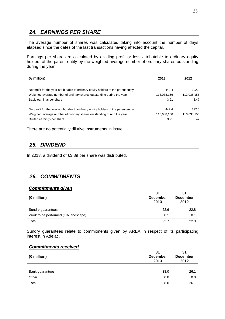# *24. EARNINGS PER SHARE*

The average number of shares was calculated taking into account the number of days elapsed since the dates of the last transactions having affected the capital.

Earnings per share are calculated by dividing profit or loss attributable to ordinary equity holders of the parent entity by the weighted average number of ordinary shares outstanding during the year.

| $(\epsilon$ million)                                                                 | 2013        | 2012        |
|--------------------------------------------------------------------------------------|-------------|-------------|
| Net profit for the year attributable to ordinary equity holders of the parent entity | 442.4       | 392.0       |
| Weighted average number of ordinary shares outstanding during the year               | 113,038,156 | 113,038,156 |
| Basic earnings per share                                                             | 3.91        | 3.47        |
| Net profit for the year attributable to ordinary equity holders of the parent entity | 442.4       | 392.0       |
| Weighted average number of ordinary shares outstanding during the year               | 113,038,156 | 113,038,156 |
| Diluted earnings per share                                                           | 3.91        | 3.47        |

There are no potentially dilutive instruments in issue.

# *25. DIVIDEND*

In 2013, a dividend of €3.89 per share was distributed.

# *26. COMMITMENTS*

#### *Commitments given*

| $(\epsilon$ million)                | 31<br><b>December</b><br>2013 | 31<br><b>December</b><br>2012 |
|-------------------------------------|-------------------------------|-------------------------------|
| Sundry guarantees                   | 22.6                          | 22.8                          |
| Work to be performed (1% landscape) | 0.1                           | 0.1                           |
| Total                               | 22.7                          | 22.9                          |

Sundry guarantees relate to commitments given by AREA in respect of its participating interest in Adelac.

#### *Commitments received*

| $(\epsilon$ million) | 31<br><b>December</b><br>2013 | 31<br><b>December</b><br>2012 |
|----------------------|-------------------------------|-------------------------------|
|                      |                               |                               |
| Bank guarantees      | 38.0                          | 26.1                          |
| Other                | 0.0                           | 0.0                           |
| Total                | 38.0                          | 26.1                          |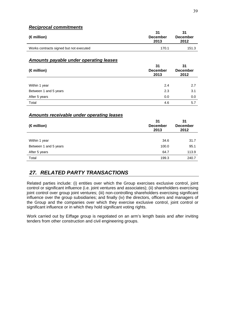### *Reciprocal commitments*

| $(\epsilon$ million)                    | 31<br><b>December</b><br>2013 | 31<br><b>December</b><br>2012 |
|-----------------------------------------|-------------------------------|-------------------------------|
| Works contracts signed but not executed | 170.1                         | 151.3                         |

### *Amounts payable under operating leases*

| (€million)            | 31<br><b>December</b><br>2013 | 31<br><b>December</b><br>2012 |
|-----------------------|-------------------------------|-------------------------------|
|                       |                               |                               |
| Within 1 year         | 2.4                           | 2.7                           |
| Between 1 and 5 years | 2.3                           | 3.1                           |
| After 5 years         | 0.0                           | 0.0                           |
| Total                 | 4.6                           | 5.7                           |

### *Amounts receivable under operating leases*

| $(\epsilon$ million)  | 31<br><b>December</b><br>2013 | 31<br><b>December</b><br>2012 |
|-----------------------|-------------------------------|-------------------------------|
|                       |                               |                               |
| Within 1 year         | 34.6                          | 31.7                          |
| Between 1 and 5 years | 100.0                         | 95.1                          |
| After 5 years         | 64.7                          | 113.9                         |
| Total                 | 199.3                         | 240.7                         |

# *27. RELATED PARTY TRANSACTIONS*

Related parties include: (i) entities over which the Group exercises exclusive control, joint control or significant influence (i.e. joint ventures and associates); (ii) shareholders exercising joint control over group joint ventures; (iii) non-controlling shareholders exercising significant influence over the group subsidiaries; and finally (iv) the directors, officers and managers of the Group and the companies over which they exercise exclusive control, joint control or significant influence or in which they hold significant voting rights.

Work carried out by Eiffage group is negotiated on an arm's length basis and after inviting tenders from other construction and civil engineering groups.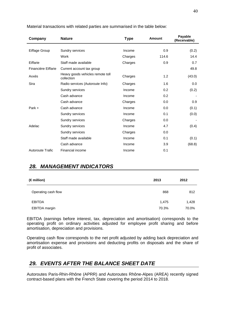| Company                 | <b>Nature</b>                                  | <b>Type</b> | <b>Amount</b> | Payable<br>(Receivable) |
|-------------------------|------------------------------------------------|-------------|---------------|-------------------------|
| Eiffage Group           | Sundry services                                | Income      | 0.9           | (0.2)                   |
|                         | Work                                           | Charges     | 114.6         | 14.4                    |
| Eiffarie                | Staff made available                           | Charges     | 0.9           | 0.7                     |
| Financière Eiffarie     | Current account tax group                      |             |               | 49.8                    |
| Axxès                   | Heavy goods vehicles remote toll<br>collection | Charges     | 1.2           | (43.0)                  |
| Sira                    | Radio services (Autoroute Info)                | Charges     | 1.6           | 0.0                     |
|                         | Sundry services                                | Income      | 0.2           | (0.2)                   |
|                         | Cash advance                                   | Income      | 0.2           |                         |
|                         | Cash advance                                   | Charges     | 0.0           | 0.9                     |
| Park +                  | Cash advance                                   | Income      | 0.0           | (0.1)                   |
|                         | Sundry services                                | Income      | 0.1           | (0.0)                   |
|                         | Sundry services                                | Charges     | 0.0           |                         |
| Adelac                  | Sundry services                                | Income      | 4.7           | (0.4)                   |
|                         | Sundry services                                | Charges     | 0.0           |                         |
|                         | Staff made available                           | Income      | 0.1           | (0.1)                   |
|                         | Cash advance                                   | Income      | 3.9           | (68.8)                  |
| <b>Autoroute Trafic</b> | Financial income                               | Income      | 0.1           |                         |

Material transactions with related parties are summarised in the table below:

# *28. MANAGEMENT INDICATORS*

| (€million)          | 2013  | 2012  |
|---------------------|-------|-------|
| Operating cash flow | 868   | 812   |
| <b>EBITDA</b>       | 1,475 | 1,428 |
| EBITDA margin       | 70.3% | 70.0% |

EBITDA (earnings before interest, tax, depreciation and amortisation) corresponds to the operating profit on ordinary activities adjusted for employee profit sharing and before amortisation, depreciation and provisions.

Operating cash flow corresponds to the net profit adjusted by adding back depreciation and amortisation expense and provisions and deducting profits on disposals and the share of profit of associates.

# *29. EVENTS AFTER THE BALANCE SHEET DATE*

Autoroutes Paris-Rhin-Rhône (APRR) and Autoroutes Rhône-Alpes (AREA) recently signed contract-based plans with the French State covering the period 2014 to 2018.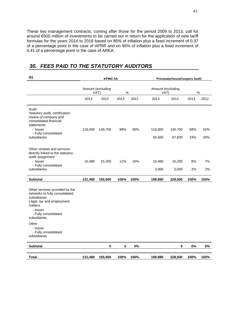These two management contracts, coming after those for the period 2009 to 2013, call for around €500 million of investments to be carried out in return for the application of new tariff formulas for the years 2014 to 2018 based on 85% of inflation plus a fixed increment of 0.37 of a percentage point in the case of APRR and on 85% of inflation plus a fixed increment of 0.41 of a percentage point in the case of AREA.

### **(€) KPMG SA PricewaterhouseCoopers Audit**  Amount (excluding  $VAT$ ) % Amount (excluding VAT) % 2013 2012 2013 2012 2013 2012 2013 2012 Audit Statutory audit, certification, review of company and consolidated financial statements - Issuer 116,000 140,700 88% 90% 116,000 140,700 58% 62% - Fully consolidated subsidiaries 65,500 67,600 33% 30% Other reviews and services directly linked to the statutory audit assignment - Issuer 15,480 15,200 12% 10% 15,480 15,200 8% 7% - Fully consolidated<br>subsidiaries subsidiaries 3,000 5,000 2% 2% **Subtotal 131,480 155,900 100% 100% 199,980 228,500 100% 100%**  Other services provided by the networks to fully consolidated subsidiaries Legal, tax and employment matters - Issuer - Fully consolidated subsidiaries **Other**  - Issuer - Fully consolidated subsidiaries **Subtotal 0 0 0% 0 0% 0% Total 131,480 155,900 100% 100% 199,980 228,500 100% 100%**

# *30. FEES PAID TO THE STATUTORY AUDITORS*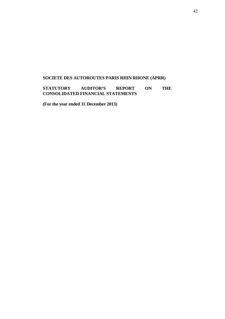# **SOCIETE DES AUTOROUTES PARIS RHIN RHONE (APRR)**

**STATUTORY AUDITOR'S REPORT ON THE CONSOLIDATED FINANCIAL STATEMENTS** 

**(For the year ended 31 December 2013)**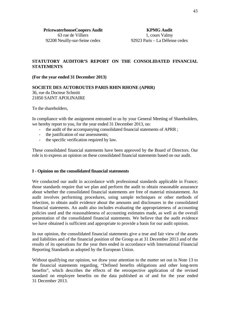### **STATUTORY AUDITOR'S REPORT ON THE CONSOLIDATED FINANCIAL STATEMENTS**

#### **(For the year ended 31 December 2013)**

#### **SOCIETE DES AUTOROUTES PARIS RHIN RHONE (APRR)**

36, rue du Docteur Schmitt 21850 SAINT APOLINAIRE

To the shareholders,

In compliance with the assignment entrusted to us by your General Meeting of Shareholders, we hereby report to you, for the year ended 31 December 2013, on:

- the audit of the accompanying consolidated financial statements of APRR ;
- the justification of our assessments;
- the specific verification required by law.

These consolidated financial statements have been approved by the Board of Directors. Our role is to express an opinion on these consolidated financial statements based on our audit.

#### **I - Opinion on the consolidated financial statements**

We conducted our audit in accordance with professional standards applicable in France; those standards require that we plan and perform the audit to obtain reasonable assurance about whether the consolidated financial statements are free of material misstatement. An audit involves performing procedures, using sample techniques or other methods of selection, to obtain audit evidence about the amounts and disclosures in the consolidated financial statements. An audit also includes evaluating the appropriateness of accounting policies used and the reasonableness of accounting estimates made, as well as the overall presentation of the consolidated financial statements. We believe that the audit evidence we have obtained is sufficient and appropriate to provide a basis for our audit opinion.

In our opinion, the consolidated financial statements give a true and fair view of the assets and liabilities and of the financial position of the Group as at 31 December 2013 and of the results of its operations for the year then ended in accordance with International Financial Reporting Standards as adopted by the European Union.

Without qualifying our opinion, we draw your attention to the matter set out in Note 13 to the financial statements regarding, "Defined benefits obligations and other long-term benefits", which describes the effects of the retrospective application of the revised standard on employee benefits on the data published as of and for the year ended 31 December 2013.